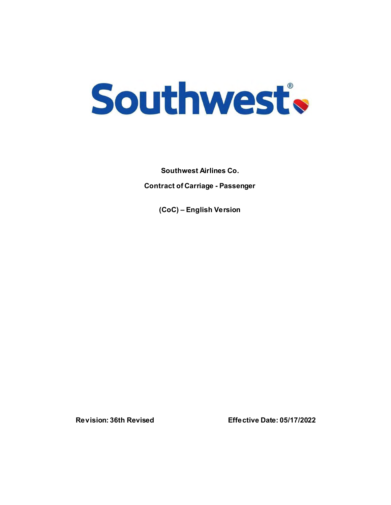

**Southwest Airlines Co. Contract of Carriage - Passenger**

**(CoC) – English Version**

**Revision: 36th Revised Effective Date: 05/17/2022**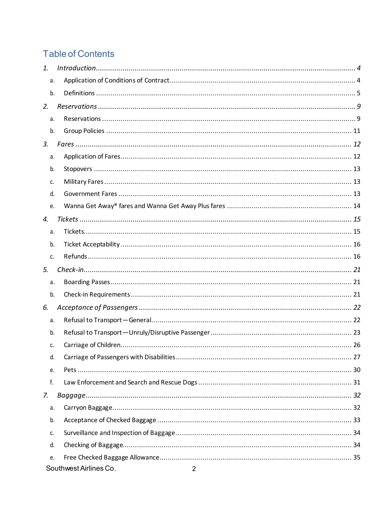# **Table of Contents**

| 1. |    |                                          |  |
|----|----|------------------------------------------|--|
|    | a. |                                          |  |
|    | b. |                                          |  |
| 2. |    |                                          |  |
|    | a. |                                          |  |
|    | b. |                                          |  |
| 3. |    |                                          |  |
|    | a. |                                          |  |
|    | b. |                                          |  |
|    | c. |                                          |  |
|    | d. |                                          |  |
|    | e. |                                          |  |
| 4. |    |                                          |  |
|    | a. |                                          |  |
|    | b. |                                          |  |
|    | c. |                                          |  |
| 5. |    |                                          |  |
|    | a. |                                          |  |
|    | b. |                                          |  |
| 6. |    |                                          |  |
|    | a. |                                          |  |
|    | b. |                                          |  |
|    | c. |                                          |  |
|    | d. |                                          |  |
|    | e. |                                          |  |
|    | f. |                                          |  |
| 7. |    |                                          |  |
|    | a. |                                          |  |
|    | b. |                                          |  |
|    | c. |                                          |  |
|    | d. |                                          |  |
|    | e. |                                          |  |
|    |    | Southwest Airlines Co.<br>$\overline{2}$ |  |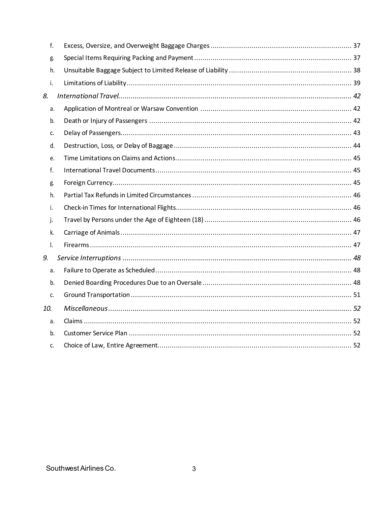|     | f. |  |
|-----|----|--|
|     | g. |  |
|     | h. |  |
|     | i. |  |
| 8.  |    |  |
|     | a. |  |
|     | b. |  |
|     | c. |  |
|     | d. |  |
|     | e. |  |
|     | f. |  |
|     | g. |  |
|     | h. |  |
|     | i. |  |
|     | j. |  |
|     | k. |  |
|     | I. |  |
| 9.  |    |  |
|     | a. |  |
|     | b. |  |
|     | c. |  |
| 10. |    |  |
|     | a. |  |
|     | b. |  |
|     | c. |  |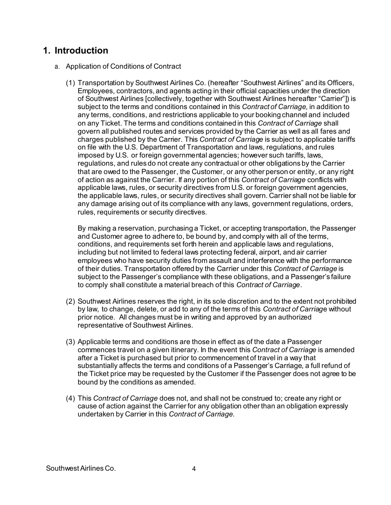### **1. Introduction**

- a. Application of Conditions of Contract
	- (1) Transportation by Southwest Airlines Co. (hereafter "Southwest Airlines" and its Officers, Employees, contractors, and agents acting in their official capacities under the direction of Southwest Airlines [collectively, together with Southwest Airlines hereafter "Carrier"]) is subject to the terms and conditions contained in this *Contract of Carriage*, in addition to any terms, conditions, and restrictions applicable to your booking channel and included on any Ticket. The terms and conditions contained in this *Contract of Carriage* shall govern all published routes and services provided by the Carrier as well as all fares and charges published by the Carrier. This *Contract of Carriage* is subject to applicable tariffs on file with the U.S. Department of Transportation and laws, regulations, and rules imposed by U.S. or foreign governmental agencies; however such tariffs, laws, regulations, and rules do not create any contractual or other obligations by the Carrier that are owed to the Passenger, the Customer, or any other person or entity, or any right of action as against the Carrier. If any portion of this *Contract of Carriage* conflicts with applicable laws, rules, or security directives from U.S. or foreign government agencies, the applicable laws, rules, or security directives shall govern. Carrier shall not be liable for any damage arising out of its compliance with any laws, government regulations, orders, rules, requirements or security directives.

By making a reservation, purchasing a Ticket, or accepting transportation, the Passenger and Customer agree to adhere to, be bound by, and comply with all of the terms, conditions, and requirements set forth herein and applicable laws and regulations, including but not limited to federal laws protecting federal, airport, and air carrier employees who have security duties from assault and interference with the performance of their duties. Transportation offered by the Carrier under this *Contract of Carriage* is subject to the Passenger's compliance with these obligations, and a Passenger's failure to comply shall constitute a material breach of this *Contract of Carriage*.

- (2) Southwest Airlines reserves the right, in its sole discretion and to the extent not prohibited by law, to change, delete, or add to any of the terms of this *Contract of Carriag*e without prior notice. All changes must be in writing and approved by an authorized representative of Southwest Airlines.
- (3) Applicable terms and conditions are those in effect as of the date a Passenger commences travel on a given itinerary. In the event this *Contract of Carriage* is amended after a Ticket is purchased but prior to commencement of travel in a way that substantially affects the terms and conditions of a Passenger's Carriage, a full refund of the Ticket price may be requested by the Customer if the Passenger does not agree to be bound by the conditions as amended.
- (4) This *Contract of Carriage* does not, and shall not be construed to; create any right or cause of action against the Carrier for any obligation other than an obligation expressly undertaken by Carrier in this *Contract of Carriage*.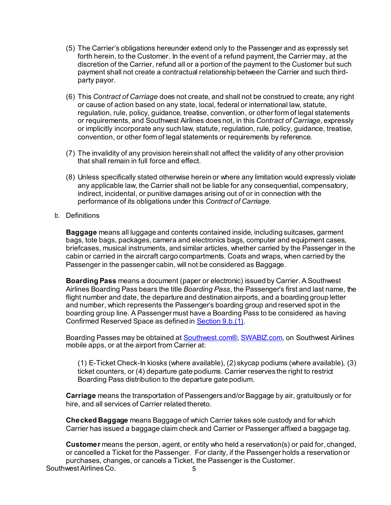- (5) The Carrier's obligations hereunder extend only to the Passenger and as expressly set forth herein, to the Customer. In the event of a refund payment, the Carrier may, at the discretion of the Carrier, refund all or a portion of the payment to the Customer but such payment shall not create a contractual relationship between the Carrier and such thirdparty payor.
- (6) This *Contract of Carriage* does not create, and shall not be construed to create, any right or cause of action based on any state, local, federal or international law, statute, regulation, rule, policy, guidance, treatise, convention, or other form of legal statements or requirements, and Southwest Airlines does not, in this *Contract of Carriage,* expressly or implicitly incorporate any such law, statute, regulation, rule, policy, guidance, treatise, convention, or other form of legal statements or requirements by reference.
- (7) The invalidity of any provision herein shall not affect the validity of any other provision that shall remain in full force and effect.
- (8) Unless specifically stated otherwise herein or where any limitation would expressly violate any applicable law, the Carrier shall not be liable for any consequential, compensatory, indirect, incidental, or punitive damages arising out of or in connection with the performance of its obligations under this *Contract of Carriage*.
- b. Definitions

**Baggage** means all luggage and contents contained inside, including suitcases, garment bags, tote bags, packages, camera and electronics bags, computer and equipment cases, briefcases, musical instruments, and similar articles, whether carried by the Passenger in the cabin or carried in the aircraft cargo compartments. Coats and wraps, when carried by the Passenger in the passenger cabin, will not be considered as Baggage.

**Boarding Pass** means a document (paper or electronic) issued by Carrier. A Southwest Airlines Boarding Pass bears the title *Boarding Pass*, the Passenger's first and last name, the flight number and date, the departure and destination airports, and a boarding group letter and number, which represents the Passenger's boarding group and reserved spot in the boarding group line. A Passenger must have a Boarding Pass to be considered as having Confirmed Reserved Space as defined i[n Section 9.b.\(1\)](#page-47-0).

Boarding Passes may be obtained a[t Southwest.com®](http://www.southwest.com/)[, SWABIZ.com,](https://www.swabiz.com/) on Southwest Airlines mobile apps, or at the airport from Carrier at:

(1) E-Ticket Check-In kiosks (where available), (2) skycap podiums (where available), (3) ticket counters, or (4) departure gate podiums. Carrier reserves the right to restrict Boarding Pass distribution to the departure gate podium.

**Carriage** means the transportation of Passengers and/or Baggage by air, gratuitously or for hire, and all services of Carrier related thereto.

**Checked Baggage** means Baggage of which Carrier takes sole custody and for which Carrier has issued a baggage claim check and Carrier or Passenger affixed a baggage tag.

Southwest Airlines Co. 5 **Customer** means the person, agent, or entity who held a reservation(s) or paid for, changed, or cancelled a Ticket for the Passenger. For clarity, if the Passenger holds a reservation or purchases, changes, or cancels a Ticket, the Passenger is the Customer.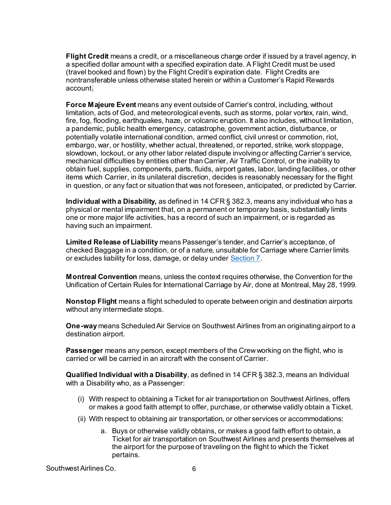**Flight Credit** means a credit, or a miscellaneous charge order if issued by a travel agency, in a specified dollar amount with a specified expiration date. A Flight Credit must be used (travel booked and flown) by the Flight Credit's expiration date. Flight Credits are nontransferable unless otherwise stated herein or within a Customer's Rapid Rewards account.

**Force Majeure Event** means any event outside of Carrier's control, including, without limitation, acts of God, and meteorological events, such as storms, polar vortex, rain, wind, fire, fog, flooding, earthquakes, haze, or volcanic eruption. It also includes, without limitation, a pandemic, public health emergency, catastrophe, government action, disturbance, or potentially volatile international condition, armed conflict, civil unrest or commotion, riot, embargo, war, or hostility, whether actual, threatened, or reported, strike, work stoppage, slowdown, lockout, or any other labor related dispute involving or affecting Carrier's service, mechanical difficulties by entities other than Carrier, Air Traffic Control, or the inability to obtain fuel, supplies, components, parts, fluids, airport gates, labor, landing facilities, or other items which Carrier, in its unilateral discretion, decides is reasonably necessary for the flight in question, or any fact or situation that was not foreseen, anticipated, or predicted by Carrier.

**Individual with a Disability,** as defined in 14 CFR § 382.3, means any individual who has a physical or mental impairment that, on a permanent or temporary basis, substantially limits one or more major life activities, has a record of such an impairment, or is regarded as having such an impairment.

**Limited Release of Liability** means Passenger's tender, and Carrier's acceptance, of checked Baggage in a condition, or of a nature, unsuitable for Carriage where Carrier limits or excludes liability for loss, damage, or delay under [Section 7](#page-31-0).

**Montreal Convention** means, unless the context requires otherwise, the Convention for the Unification of Certain Rules for International Carriage by Air, done at Montreal, May 28, 1999.

**Nonstop Flight** means a flight scheduled to operate between origin and destination airports without any intermediate stops.

**One-way** means Scheduled Air Service on Southwest Airlines from an originating airport to a destination airport.

**Passenger** means any person, except members of the Crew working on the flight, who is carried or will be carried in an aircraft with the consent of Carrier.

**Qualified Individual with a Disability**, as defined in 14 CFR § 382.3, means an Individual with a Disability who, as a Passenger:

- (i) With respect to obtaining a Ticket for air transportation on Southwest Airlines, offers or makes a good faith attempt to offer, purchase, or otherwise validly obtain a Ticket.
- (ii) With respect to obtaining air transportation, or other services or accommodations:
	- a. Buys or otherwise validly obtains, or makes a good faith effort to obtain, a Ticket for air transportation on Southwest Airlines and presents themselves at the airport for the purpose of traveling on the flight to which the Ticket pertains.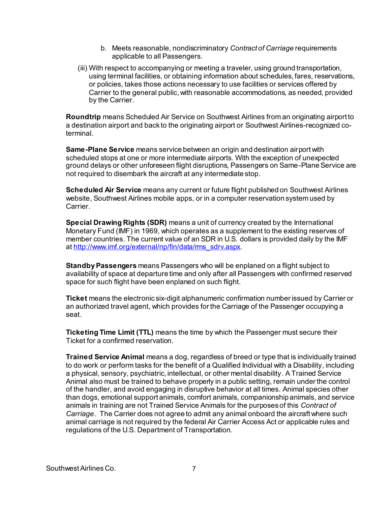- b. Meets reasonable, nondiscriminatory *Contract of Carriage* requirements applicable to all Passengers.
- (iii) With respect to accompanying or meeting a traveler, using ground transportation, using terminal facilities, or obtaining information about schedules, fares, reservations, or policies, takes those actions necessary to use facilities or services offered by Carrier to the general public, with reasonable accommodations, as needed, provided by the Carrier.

**Roundtrip** means Scheduled Air Service on Southwest Airlines from an originating airport to a destination airport and back to the originating airport or Southwest Airlines-recognized coterminal.

**Same-Plane Service** means service between an origin and destination airport with scheduled stops at one or more intermediate airports. With the exception of unexpected ground delays or other unforeseen flight disruptions, Passengers on Same-Plane Service are not required to disembark the aircraft at any intermediate stop.

**Scheduled Air Service** means any current or future flight published on Southwest Airlines website, Southwest Airlines mobile apps, or in a computer reservation system used by Carrier.

**Special Drawing Rights (SDR)** means a unit of currency created by the International Monetary Fund (IMF) in 1969, which operates as a supplement to the existing reserves of member countries. The current value of an SDR in U.S. dollars is provided daily by the IMF at [http://www.imf.org/external/np/fin/data/rms\\_sdrv.aspx.](http://www.imf.org/external/np/fin/data/rms_sdrv.aspx)

**Standby Passengers** means Passengers who will be enplaned on a flight subject to availability of space at departure time and only after all Passengers with confirmed reserved space for such flight have been enplaned on such flight.

**Ticket** means the electronic six-digit alphanumeric confirmation number issued by Carrier or an authorized travel agent, which provides for the Carriage of the Passenger occupying a seat.

**Ticketing Time Limit (TTL)** means the time by which the Passenger must secure their Ticket for a confirmed reservation.

**Trained Service Animal** means a dog, regardless of breed or type that is individually trained to do work or perform tasks for the benefit of a Qualified Individual with a Disability, including a physical, sensory, psychiatric, intellectual, or other mental disability. A Trained Service Animal also must be trained to behave properly in a public setting, remain under the control of the handler, and avoid engaging in disruptive behavior at all times. Animal species other than dogs, emotional support animals, comfort animals, companionship animals, and service animals in training are not Trained Service Animals for the purposes of this *Contract of Carriage*. The Carrier does not agree to admit any animal onboard the aircraft where such animal carriage is not required by the federal Air Carrier Access Act or applicable rules and regulations of the U.S. Department of Transportation.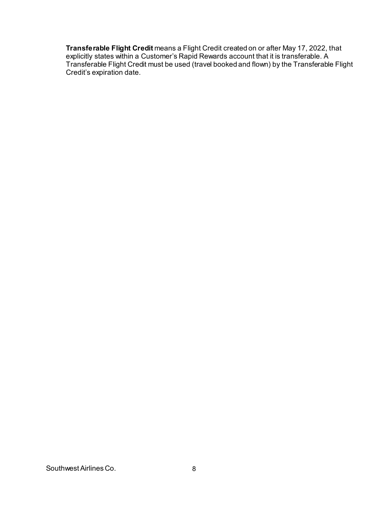**Transferable Flight Credit** means a Flight Credit created on or after May 17, 2022, that explicitly states within a Customer's Rapid Rewards account that it is transferable. A Transferable Flight Credit must be used (travel booked and flown) by the Transferable Flight Credit's expiration date.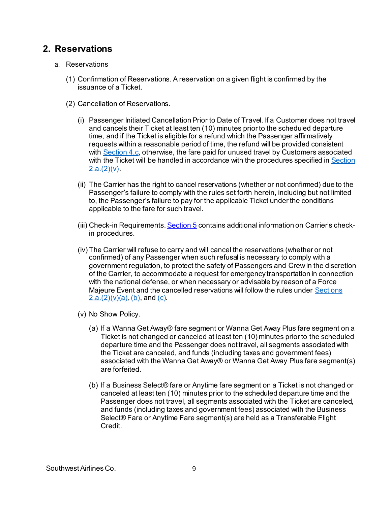### **2. Reservations**

- <span id="page-8-3"></span><span id="page-8-2"></span><span id="page-8-1"></span><span id="page-8-0"></span>a. Reservations
	- (1) Confirmation of Reservations. A reservation on a given flight is confirmed by the issuance of a Ticket.
	- (2) Cancellation of Reservations.
		- (i) Passenger Initiated Cancellation Prior to Date of Travel. If a Customer does not travel and cancels their Ticket at least ten (10) minutes prior to the scheduled departure time, and if the Ticket is eligible for a refund which the Passenger affirmatively requests within a reasonable period of time, the refund will be provided consistent with [Section 4.c,](#page-15-0) otherwise, the fare paid for unused travel by Customers associated with the Ticket will be handled in accordance with the procedures specified i[n Section](#page-8-0)  $2.a.(2)(v)$ .
		- (ii) The Carrier has the right to cancel reservations (whether or not confirmed) due to the Passenger's failure to comply with the rules set forth herein, including but not limited to, the Passenger's failure to pay for the applicable Ticket under the conditions applicable to the fare for such travel.
		- (iii) Check-in Requirements[. Section 5](#page-20-0) contains additional information on Carrier's checkin procedures.
		- (iv) The Carrier will refuse to carry and will cancel the reservations (whether or not confirmed) of any Passenger when such refusal is necessary to comply with a government regulation, to protect the safety of Passengers and Crewin the discretion of the Carrier, to accommodate a request for emergency transportation in connection with the national defense, or when necessary or advisable by reason of a Force Majeure Event and the cancelled reservations will follow the rules unde[r Sections](#page-8-1)   $2.a.(2)(v)(a)$ [, \(b\)](#page-8-2), an[d \(c\)](#page-9-0).
		- (v) No Show Policy.
			- (a) If a Wanna Get Away® fare segment or Wanna Get Away Plus fare segment on a Ticket is not changed or canceled at least ten (10) minutes prior to the scheduled departure time and the Passenger does not travel, all segments associated with the Ticket are canceled, and funds (including taxes and government fees) associated with the Wanna Get Away® or Wanna Get Away Plus fare segment(s) are forfeited.
			- (b) If a Business Select® fare or Anytime fare segment on a Ticket is not changed or canceled at least ten (10) minutes prior to the scheduled departure time and the Passenger does not travel, all segments associated with the Ticket are canceled, and funds (including taxes and government fees) associated with the Business Select® Fare or Anytime Fare segment(s) are held as a Transferable Flight Credit.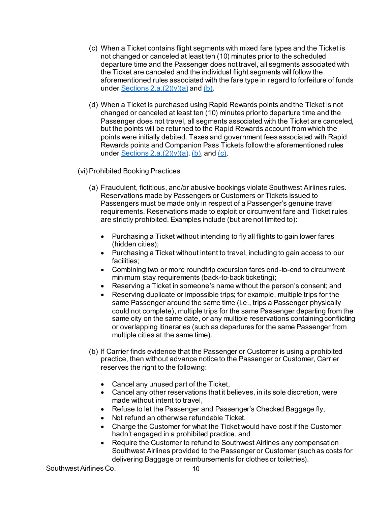- <span id="page-9-0"></span>(c) When a Ticket contains flight segments with mixed fare types and the Ticket is not changed or canceled at least ten (10) minutes prior to the scheduled departure time and the Passenger does not travel, all segments associated with the Ticket are canceled and the individual flight segments will follow the aforementioned rules associated with the fare type in regard to forfeiture of funds under Sections  $2.a.(2)(v)(a)$  and  $(b).$
- (d) When a Ticket is purchased using Rapid Rewards points and the Ticket is not changed or canceled at least ten (10) minutes prior to departure time and the Passenger does not travel, all segments associated with the Ticket are canceled, but the points will be returned to the Rapid Rewards account from which the points were initially debited. Taxes and government fees associated with Rapid Rewards points and Companion Pass Tickets follow the aforementioned rules under Sections  $2.a.(2)(v)(a)$ [, \(b\)](#page-8-2), an[d \(c\)](#page-9-0).

(vi) Prohibited Booking Practices

- (a) Fraudulent, fictitious, and/or abusive bookings violate Southwest Airlines rules. Reservations made by Passengers or Customers or Tickets issued to Passengers must be made only in respect of a Passenger's genuine travel requirements. Reservations made to exploit or circumvent fare and Ticket rules are strictly prohibited. Examples include (but are not limited to):
	- Purchasing a Ticket without intending to fly all flights to gain lower fares (hidden cities);
	- Purchasing a Ticket without intent to travel, including to gain access to our facilities;
	- Combining two or more roundtrip excursion fares end-to-end to circumvent minimum stay requirements (back-to-back ticketing);
	- Reserving a Ticket in someone's name without the person's consent; and
	- Reserving duplicate or impossible trips; for example, multiple trips for the same Passenger around the same time (i.e., trips a Passenger physically could not complete), multiple trips for the same Passenger departing from the same city on the same date, or any multiple reservations containing conflicting or overlapping itineraries (such as departures for the same Passenger from multiple cities at the same time).
- (b) If Carrier finds evidence that the Passenger or Customer is using a prohibited practice, then without advance notice to the Passenger or Customer, Carrier reserves the right to the following:
	- Cancel any unused part of the Ticket,
	- Cancel any other reservations that it believes, in its sole discretion, were made without intent to travel,
	- Refuse to let the Passenger and Passenger's Checked Baggage fly,
	- Not refund an otherwise refundable Ticket,
	- Charge the Customer for what the Ticket would have cost if the Customer hadn't engaged in a prohibited practice, and
	- Require the Customer to refund to Southwest Airlines any compensation Southwest Airlines provided to the Passenger or Customer (such as costs for delivering Baggage or reimbursements for clothes or toiletries).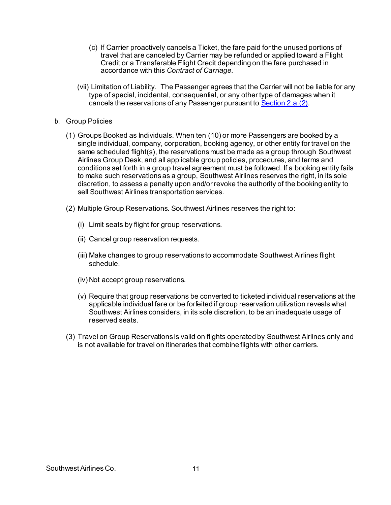- (c) If Carrier proactively cancels a Ticket, the fare paid for the unused portions of travel that are canceled by Carrier may be refunded or applied toward a Flight Credit or a Transferable Flight Credit depending on the fare purchased in accordance with this *Contract of Carriage*.
- (vii) Limitation of Liability. The Passenger agrees that the Carrier will not be liable for any type of special, incidental, consequential, or any other type of damages when it cancels the reservations of any Passenger pursuant t[o Section 2.a.\(2\)](#page-8-3).
- b. Group Policies
	- (1) Groups Booked as Individuals. When ten (10) or more Passengers are booked by a single individual, company, corporation, booking agency, or other entity for travel on the same scheduled flight(s), the reservations must be made as a group through Southwest Airlines Group Desk, and all applicable group policies, procedures, and terms and conditions set forth in a group travel agreement must be followed. If a booking entity fails to make such reservations as a group, Southwest Airlines reserves the right, in its sole discretion, to assess a penalty upon and/or revoke the authority of the booking entity to sell Southwest Airlines transportation services.
	- (2) Multiple Group Reservations. Southwest Airlines reserves the right to:
		- (i) Limit seats by flight for group reservations.
		- (ii) Cancel group reservation requests.
		- (iii) Make changes to group reservations to accommodate Southwest Airlines flight schedule.
		- (iv) Not accept group reservations.
		- (v) Require that group reservations be converted to ticketed individual reservations at the applicable individual fare or be forfeited if group reservation utilization reveals what Southwest Airlines considers, in its sole discretion, to be an inadequate usage of reserved seats.
	- (3) Travel on Group Reservations is valid on flights operated by Southwest Airlines only and is not available for travel on itineraries that combine flights with other carriers.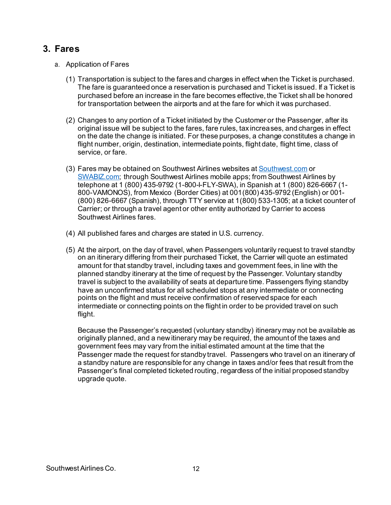## **3. Fares**

- a. Application of Fares
	- (1) Transportation is subject to the fares and charges in effect when the Ticket is purchased. The fare is guaranteed once a reservation is purchased and Ticket is issued. If a Ticket is purchased before an increase in the fare becomes effective, the Ticket shall be honored for transportation between the airports and at the fare for which it was purchased.
	- (2) Changes to any portion of a Ticket initiated by the Customer or the Passenger, after its original issue will be subject to the fares, fare rules, tax increases, and charges in effect on the date the change is initiated. For these purposes, a change constitutes a change in flight number, origin, destination, intermediate points, flight date, flight time, class of service, or fare.
	- (3) Fares may be obtained on Southwest Airlines websites at [Southwest.com](http://www.southwest.com/) or [SWABIZ.com;](http://www.swabiz.com/) through Southwest Airlines mobile apps; from Southwest Airlines by telephone at 1 (800) 435-9792 (1-800-I-FLY-SWA), in Spanish at 1 (800) 826-6667 (1- 800-VAMONOS), from Mexico (Border Cities) at 001(800) 435-9792 (English) or 001- (800) 826-6667 (Spanish), through TTY service at 1(800) 533-1305; at a ticket counter of Carrier; or through a travel agent or other entity authorized by Carrier to access Southwest Airlines fares.
	- (4) All published fares and charges are stated in U.S. currency.
	- (5) At the airport, on the day of travel, when Passengers voluntarily request to travel standby on an itinerary differing from their purchased Ticket, the Carrier will quote an estimated amount for that standby travel, including taxes and government fees, in line with the planned standby itinerary at the time of request by the Passenger. Voluntary standby travel is subject to the availability of seats at departure time. Passengers flying standby have an unconfirmed status for all scheduled stops at any intermediate or connecting points on the flight and must receive confirmation of reserved space for each intermediate or connecting points on the flight in order to be provided travel on such flight.

Because the Passenger's requested (voluntary standby) itinerary may not be available as originally planned, and a new itinerary may be required, the amount of the taxes and government fees may vary from the initial estimated amount at the time that the Passenger made the request for standby travel. Passengers who travel on an itinerary of a standby nature are responsible for any change in taxes and/or fees that result from the Passenger's final completed ticketed routing, regardless of the initial proposed standby upgrade quote.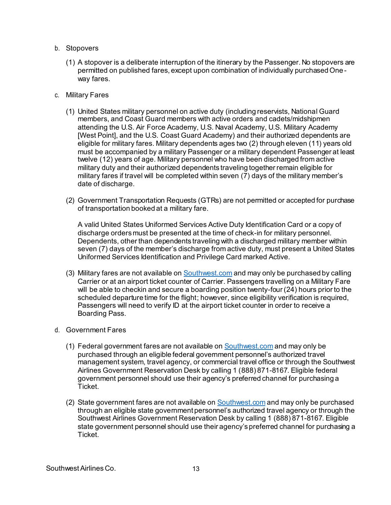- b. Stopovers
	- (1) A stopover is a deliberate interruption of the itinerary by the Passenger. No stopovers are permitted on published fares, except upon combination of individually purchased Oneway fares.
- <span id="page-12-0"></span>c. Military Fares
	- (1) United States military personnel on active duty (including reservists, National Guard members, and Coast Guard members with active orders and cadets/midshipmen attending the U.S. Air Force Academy, U.S. Naval Academy, U.S. Military Academy [West Point], and the U.S. Coast Guard Academy) and their authorized dependents are eligible for military fares. Military dependents ages two (2) through eleven (11) years old must be accompanied by a military Passenger or a military dependent Passenger at least twelve (12) years of age. Military personnel who have been discharged from active military duty and their authorized dependents traveling together remain eligible for military fares if travel will be completed within seven (7) days of the military member's date of discharge.
	- (2) Government Transportation Requests (GTRs) are not permitted or accepted for purchase of transportation booked at a military fare.

A valid United States Uniformed Services Active Duty Identification Card or a copy of discharge orders must be presented at the time of check-in for military personnel. Dependents, other than dependents traveling with a discharged military member within seven (7) days of the member's discharge from active duty, must present a United States Uniformed Services Identification and Privilege Card marked Active.

- (3) Military fares are not available on **[Southwest.com](http://www.southwest.com/)** and may only be purchased by calling Carrier or at an airport ticket counter of Carrier. Passengers travelling on a Military Fare will be able to checkin and secure a boarding position twenty-four (24) hours prior to the scheduled departure time for the flight; however, since eligibility verification is required, Passengers will need to verify ID at the airport ticket counter in order to receive a Boarding Pass.
- d. Government Fares
	- (1) Federal government fares are not available o[n Southwest.com](http://www.southwest.com/) and may only be purchased through an eligible federal government personnel's authorized travel management system, travel agency, or commercial travel office or through the Southwest Airlines Government Reservation Desk by calling 1 (888) 871-8167. Eligible federal government personnel should use their agency's preferred channel for purchasing a Ticket.
	- (2) State government fares are not available on **Southwest.com** and may only be purchased through an eligible state government personnel's authorized travel agency or through the Southwest Airlines Government Reservation Desk by calling 1 (888) 871-8167. Eligible state government personnel should use their agency's preferred channel for purchasing a Ticket.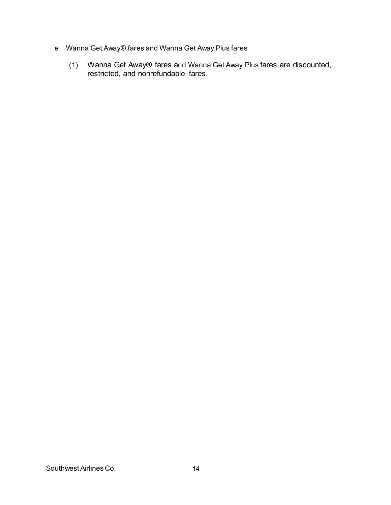- e. Wanna Get Away® fares and Wanna Get Away Plus fares
	- (1) Wanna Get Away® fares and Wanna Get Away Plus fares are discounted, restricted, and nonrefundable fares.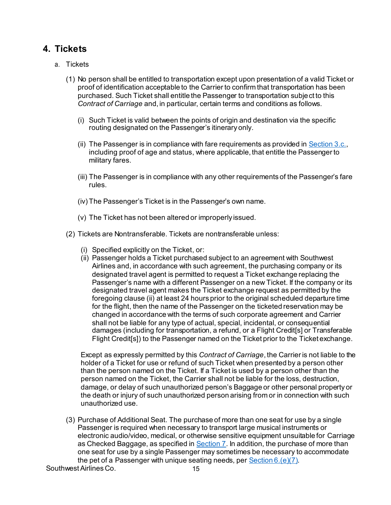### **4. Tickets**

- a. Tickets
	- (1) No person shall be entitled to transportation except upon presentation of a valid Ticket or proof of identification acceptable to the Carrier to confirm that transportation has been purchased. Such Ticket shall entitle the Passenger to transportation subject to this *Contract of Carriage* and, in particular, certain terms and conditions as follows.
		- (i) Such Ticket is valid between the points of origin and destination via the specific routing designated on the Passenger's itinerary only.
		- (ii) The Passenger is in compliance with fare requirements as provided in Section  $3.c.,$ including proof of age and status, where applicable, that entitle the Passenger to military fares.
		- (iii) The Passenger is in compliance with any other requirements of the Passenger's fare rules.
		- (iv) The Passenger's Ticket is in the Passenger's own name.
		- (v) The Ticket has not been altered or improperly issued.
	- (2) Tickets are Nontransferable. Tickets are nontransferable unless:
		- (i) Specified explicitly on the Ticket, or:
		- (ii) Passenger holds a Ticket purchased subject to an agreement with Southwest Airlines and, in accordance with such agreement, the purchasing company or its designated travel agent is permitted to request a Ticket exchange replacing the Passenger's name with a different Passenger on a new Ticket. If the company or its designated travel agent makes the Ticket exchange request as permitted by the foregoing clause (ii) at least 24 hours prior to the original scheduled departure time for the flight, then the name of the Passenger on the ticketed reservation may be changed in accordance with the terms of such corporate agreement and Carrier shall not be liable for any type of actual, special, incidental, or consequential damages (including for transportation, a refund, or a Flight Credit[s] or Transferable Flight Credit[s]) to the Passenger named on the Ticket prior to the Ticket exchange.

Except as expressly permitted by this *Contract of Carriage*, the Carrier is not liable to the holder of a Ticket for use or refund of such Ticket when presented by a person other than the person named on the Ticket. If a Ticket is used by a person other than the person named on the Ticket, the Carrier shall not be liable for the loss, destruction, damage, or delay of such unauthorized person's Baggage or other personal property or the death or injury of such unauthorized person arising from or in connection with such unauthorized use.

<span id="page-14-0"></span>(3) Purchase of Additional Seat. The purchase of more than one seat for use by a single Passenger is required when necessary to transport large musical instruments or electronic audio/video, medical, or otherwise sensitive equipment unsuitable for Carriage as Checked Baggage, as specified in [Section 7](#page-31-0). In addition, the purchase of more than one seat for use by a single Passenger may sometimes be necessary to accommodate the pet of a Passenger with unique seating needs, pe[r Section](#page-30-0) 6.(e)(7).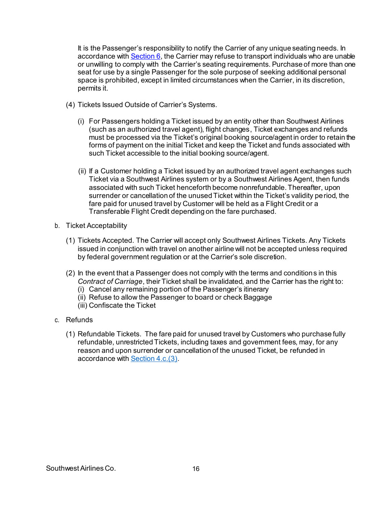It is the Passenger's responsibility to notify the Carrier of any unique seating needs. In accordance with  $Section 6$ , the Carrier may refuse to transport individuals who are unable or unwilling to comply with the Carrier's seating requirements. Purchase of more than one seat for use by a single Passenger for the sole purpose of seeking additional personal space is prohibited, except in limited circumstances when the Carrier, in its discretion, permits it.

- (4) Tickets Issued Outside of Carrier's Systems.
	- (i) For Passengers holding a Ticket issued by an entity other than Southwest Airlines (such as an authorized travel agent), flight changes, Ticket exchanges and refunds must be processed via the Ticket's original booking source/agent in order to retain the forms of payment on the initial Ticket and keep the Ticket and funds associated with such Ticket accessible to the initial booking source/agent.
	- (ii) If a Customer holding a Ticket issued by an authorized travel agent exchanges such Ticket via a Southwest Airlines system or by a Southwest Airlines Agent, then funds associated with such Ticket henceforth become nonrefundable. Thereafter, upon surrender or cancellation of the unused Ticket within the Ticket's validity period, the fare paid for unused travel by Customer will be held as a Flight Credit or a Transferable Flight Credit depending on the fare purchased.
- b. Ticket Acceptability
	- (1) Tickets Accepted. The Carrier will accept only Southwest Airlines Tickets. Any Tickets issued in conjunction with travel on another airline will not be accepted unless required by federal government regulation or at the Carrier's sole discretion.
	- (2) In the event that a Passenger does not comply with the terms and conditions in this *Contract of Carriage*, their Ticket shall be invalidated, and the Carrier has the right to:
		- (i) Cancel any remaining portion of the Passenger's itinerary
		- (ii) Refuse to allow the Passenger to board or check Baggage
		- (iii) Confiscate the Ticket
- <span id="page-15-0"></span>c. Refunds
	- (1) Refundable Tickets. The fare paid for unused travel by Customers who purchase fully refundable, unrestricted Tickets, including taxes and government fees, may, for any reason and upon surrender or cancellation of the unused Ticket, be refunded in accordance wit[h Section 4.c.\(3\)](#page-16-0).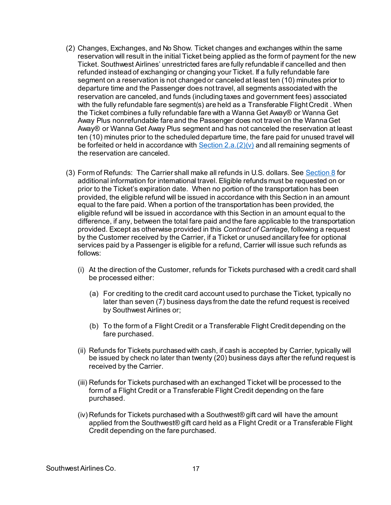- (2) Changes, Exchanges, and No Show. Ticket changes and exchanges within the same reservation will result in the initial Ticket being applied as the form of payment for the new Ticket. Southwest Airlines' unrestricted fares are fully refundable if cancelled and then refunded instead of exchanging or changing your Ticket. If a fully refundable fare segment on a reservation is not changed or canceled at least ten (10) minutes prior to departure time and the Passenger does not travel, all segments associated with the reservation are canceled, and funds (including taxes and government fees) associated with the fully refundable fare segment(s) are held as a Transferable Flight Credit . When the Ticket combines a fully refundable fare with a Wanna Get Away® or Wanna Get Away Plus nonrefundable fare and the Passenger does not travel on the Wanna Get Away® or Wanna Get Away Plus segment and has not canceled the reservation at least ten (10) minutes prior to the scheduled departure time, the fare paid for unused travel will be forfeited or held in accordance with  $Section 2.a.(2)(v)$  and all remaining segments of the reservation are canceled.
- <span id="page-16-0"></span>(3) Form of Refunds: The Carrier shall make all refunds in U.S. dollars. Se[e Section 8](#page-41-0) for additional information for international travel. Eligible refunds must be requested on or prior to the Ticket's expiration date. When no portion of the transportation has been provided, the eligible refund will be issued in accordance with this Section in an amount equal to the fare paid. When a portion of the transportation has been provided, the eligible refund will be issued in accordance with this Section in an amount equal to the difference, if any, between the total fare paid and the fare applicable to the transportation provided. Except as otherwise provided in this *Contract of Carriage*, following a request by the Customer received by the Carrier, if a Ticket or unused ancillary fee for optional services paid by a Passenger is eligible for a refund, Carrier will issue such refunds as follows:
	- (i) At the direction of the Customer, refunds for Tickets purchased with a credit card shall be processed either:
		- (a) For crediting to the credit card account used to purchase the Ticket, typically no later than seven (7) business days from the date the refund request is received by Southwest Airlines or;
		- (b) To the form of a Flight Credit or a Transferable Flight Credit depending on the fare purchased.
	- (ii) Refunds for Tickets purchased with cash, if cash is accepted by Carrier, typically will be issued by check no later than twenty (20) business days after the refund request is received by the Carrier.
	- (iii) Refunds for Tickets purchased with an exchanged Ticket will be processed to the form of a Flight Credit or a Transferable Flight Credit depending on the fare purchased.
	- (iv) Refunds for Tickets purchased with a Southwest® gift card will have the amount applied from the Southwest® gift card held as a Flight Credit or a Transferable Flight Credit depending on the fare purchased.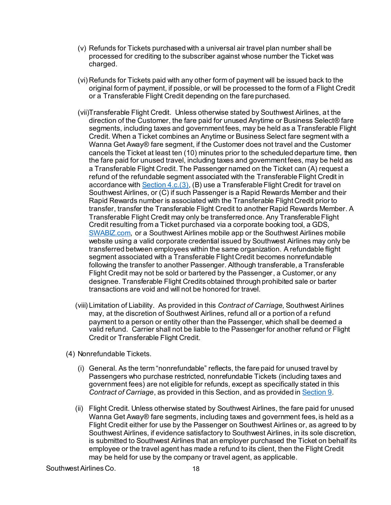- (v) Refunds for Tickets purchased with a universal air travel plan number shall be processed for crediting to the subscriber against whose number the Ticket was charged.
- (vi) Refunds for Tickets paid with any other form of payment will be issued back to the original form of payment, if possible, or will be processed to the form of a Flight Credit or a Transferable Flight Credit depending on the fare purchased.
- (vii)Transferable Flight Credit. Unless otherwise stated by Southwest Airlines, at the direction of the Customer, the fare paid for unused Anytime or Business Select® fare segments, including taxes and government fees, may be held as a Transferable Flight Credit. When a Ticket combines an Anytime or Business Select fare segment with a Wanna Get Away® fare segment, if the Customer does not travel and the Customer cancels the Ticket at least ten (10) minutes prior to the scheduled departure time, then the fare paid for unused travel, including taxes and government fees, may be held as a Transferable Flight Credit. The Passenger named on the Ticket can (A) request a refund of the refundable segment associated with the Transferable Flight Credit in accordance with  $Section 4.c.(3)$ , (B) use a Transferable Flight Credit for travel on Southwest Airlines, or (C) if such Passenger is a Rapid Rewards Member and their Rapid Rewards number is associated with the Transferable Flight Credit prior to transfer, transfer the Transferable Flight Credit to another Rapid Rewards Member. A Transferable Flight Credit may only be transferred once. Any Transferable Flight Credit resulting from a Ticket purchased via a corporate booking tool, a GDS, [SWABIZ.com,](http://www.swabiz.com/) or a Southwest Airlines mobile app or the Southwest Airlines mobile website using a valid corporate credential issued by Southwest Airlines may only be transferred between employees within the same organization. A refundable flight segment associated with a Transferable Flight Credit becomes nonrefundable following the transfer to another Passenger. Although transferable, a Transferable Flight Credit may not be sold or bartered by the Passenger, a Customer, or any designee. Transferable Flight Credits obtained through prohibited sale or barter transactions are void and will not be honored for travel.
- (viii) Limitation of Liability. As provided in this *Contract of Carriage*, Southwest Airlines may, at the discretion of Southwest Airlines, refund all or a portion of a refund payment to a person or entity other than the Passenger, which shall be deemed a valid refund. Carrier shall not be liable to the Passenger for another refund or Flight Credit or Transferable Flight Credit.
- (4) Nonrefundable Tickets.
	- (i) General. As the term "nonrefundable" reflects, the fare paid for unused travel by Passengers who purchase restricted, nonrefundable Tickets (including taxes and government fees) are not eligible for refunds, except as specifically stated in this *Contract of Carriage*, as provided in this Section, and as provided in [Section 9.](#page-47-1)
	- (ii) Flight Credit. Unless otherwise stated by Southwest Airlines, the fare paid for unused Wanna Get Away® fare segments, including taxes and government fees, is held as a Flight Credit either for use by the Passenger on Southwest Airlines or, as agreed to by Southwest Airlines, if evidence satisfactory to Southwest Airlines, in its sole discretion, is submitted to Southwest Airlines that an employer purchased the Ticket on behalf its employee or the travel agent has made a refund to its client, then the Flight Credit may be held for use by the company or travel agent, as applicable.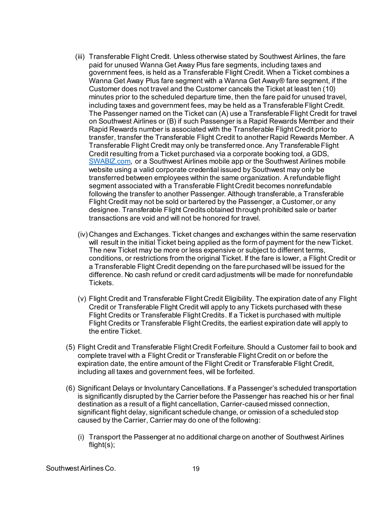- (iii) Transferable Flight Credit. Unless otherwise stated by Southwest Airlines, the fare paid for unused Wanna Get Away Plus fare segments, including taxes and government fees, is held as a Transferable Flight Credit. When a Ticket combines a Wanna Get Away Plus fare segment with a Wanna Get Away® fare segment, if the Customer does not travel and the Customer cancels the Ticket at least ten (10) minutes prior to the scheduled departure time, then the fare paid for unused travel, including taxes and government fees, may be held as a Transferable Flight Credit. The Passenger named on the Ticket can (A) use a Transferable Flight Credit for travel on Southwest Airlines or (B) if such Passenger is a Rapid Rewards Member and their Rapid Rewards number is associated with the Transferable Flight Credit prior to transfer, transfer the Transferable Flight Credit to another Rapid Rewards Member. A Transferable Flight Credit may only be transferred once. Any Transferable Flight Credit resulting from a Ticket purchased via a corporate booking tool, a GDS, [SWABIZ.com,](http://www.swabiz.com/) or a Southwest Airlines mobile app or the Southwest Airlines mobile website using a valid corporate credential issued by Southwest may only be transferred between employees within the same organization. A refundable flight segment associated with a Transferable Flight Credit becomes nonrefundable following the transfer to another Passenger. Although transferable, a Transferable Flight Credit may not be sold or bartered by the Passenger, a Customer, or any designee. Transferable Flight Credits obtained through prohibited sale or barter transactions are void and will not be honored for travel.
- (iv) Changes and Exchanges. Ticket changes and exchanges within the same reservation will result in the initial Ticket being applied as the form of payment for the new Ticket. The new Ticket may be more or less expensive or subject to different terms, conditions, or restrictions from the original Ticket. If the fare is lower, a Flight Credit or a Transferable Flight Credit depending on the fare purchased will be issued for the difference. No cash refund or credit card adjustments will be made for nonrefundable Tickets.
- (v) Flight Credit and Transferable Flight Credit Eligibility. The expiration date of any Flight Credit or Transferable Flight Credit will apply to any Tickets purchased with these Flight Credits or Transferable Flight Credits. If a Ticket is purchased with multiple Flight Credits or Transferable Flight Credits, the earliest expiration date will apply to the entire Ticket.
- (5) Flight Credit and Transferable Flight Credit Forfeiture. Should a Customer fail to book and complete travel with a Flight Credit or Transferable Flight Credit on or before the expiration date, the entire amount of the Flight Credit or Transferable Flight Credit, including all taxes and government fees, will be forfeited.
- (6) Significant Delays or Involuntary Cancellations. If a Passenger's scheduled transportation is significantly disrupted by the Carrier before the Passenger has reached his or her final destination as a result of a flight cancellation, Carrier-caused missed connection, significant flight delay, significant schedule change, or omission of a scheduled stop caused by the Carrier, Carrier may do one of the following:
	- (i) Transport the Passenger at no additional charge on another of Southwest Airlines flight(s);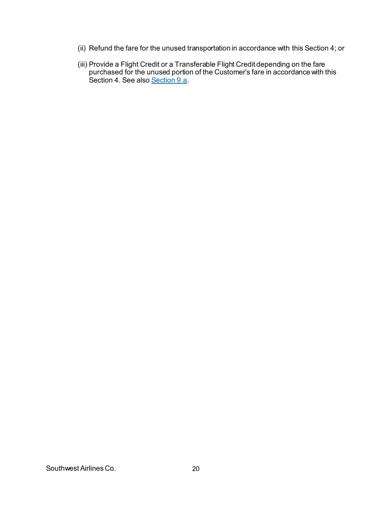- (ii) Refund the fare for the unused transportation in accordance with this Section 4; or
- (iii) Provide a Flight Credit or a Transferable Flight Credit depending on the fare purchased for the unused portion of the Customer's fare in accordance with this Section 4. See also [Section 9.a.](#page-47-2)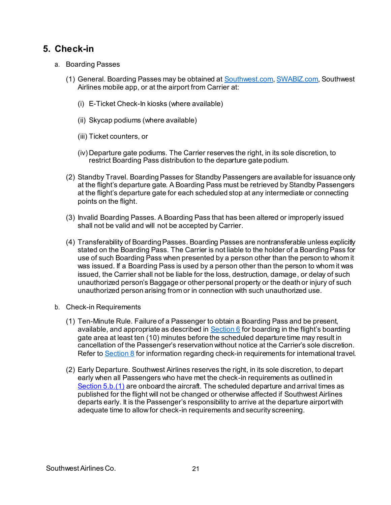### <span id="page-20-0"></span>**5. Check-in**

- a. Boarding Passes
	- (1) General. Boarding Passes may be obtained at [Southwest.com](http://www.southwest.com/)[, SWABIZ.com,](http://www.swabiz.com/) Southwest Airlines mobile app, or at the airport from Carrier at:
		- (i) E-Ticket Check-In kiosks (where available)
		- (ii) Skycap podiums (where available)
		- (iii) Ticket counters, or
		- (iv) Departure gate podiums. The Carrier reserves the right, in its sole discretion, to restrict Boarding Pass distribution to the departure gate podium.
	- (2) Standby Travel. Boarding Passes for Standby Passengers are available for issuance only at the flight's departure gate. A Boarding Pass must be retrieved by Standby Passengers at the flight's departure gate for each scheduled stop at any intermediate or connecting points on the flight.
	- (3) Invalid Boarding Passes. A Boarding Pass that has been altered or improperly issued shall not be valid and will not be accepted by Carrier.
	- (4) Transferability of Boarding Passes. Boarding Passes are nontransferable unless explicitly stated on the Boarding Pass. The Carrier is not liable to the holder of a Boarding Pass for use of such Boarding Pass when presented by a person other than the person to whom it was issued. If a Boarding Pass is used by a person other than the person to whom it was issued, the Carrier shall not be liable for the loss, destruction, damage, or delay of such unauthorized person's Baggage or other personal property or the death or injury of such unauthorized person arising from or in connection with such unauthorized use.
- <span id="page-20-2"></span><span id="page-20-1"></span>b. Check-in Requirements
	- (1) Ten-Minute Rule. Failure of a Passenger to obtain a Boarding Pass and be present, available, and appropriate as described in [Section 6](#page-21-0) for boarding in the flight's boarding gate area at least ten (10) minutes before the scheduled departure time may result in cancellation of the Passenger's reservation without notice at the Carrier's sole discretion. Refer t[o Section 8](#page-41-0) for information regarding check-in requirements for international travel.
	- (2) Early Departure. Southwest Airlines reserves the right, in its sole discretion, to depart early when all Passengers who have met the check-in requirements as outlined in [Section 5.b.\(1\)](#page-20-1) are onboard the aircraft. The scheduled departure and arrival times as published for the flight will not be changed or otherwise affected if Southwest Airlines departs early. It is the Passenger's responsibility to arrive at the departure airport with adequate time to allow for check-in requirements and security screening.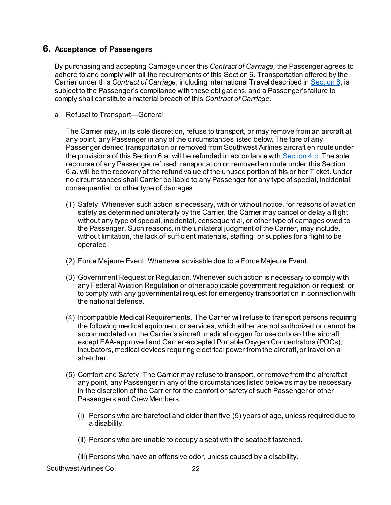### <span id="page-21-0"></span>**6. Acceptance of Passengers**

By purchasing and accepting Carriage under this *Contract of Carriage,* the Passenger agrees to adhere to and comply with all the requirements of this Section 6. Transportation offered by the Carrier under this *Contract of Carriage*, including International Travel described i[n Section 8](#page-41-0), is subject to the Passenger's compliance with these obligations, and a Passenger's failure to comply shall constitute a material breach of this *Contract of Carriage.*

a. Refusal to Transport—General

The Carrier may, in its sole discretion, refuse to transport, or may remove from an aircraft at any point, any Passenger in any of the circumstances listed below. The fare of any Passenger denied transportation or removed from Southwest Airlines aircraft en route under the provisions of this Section 6.a. will be refunded in accordance wit[h Section 4.c](#page-15-0). The sole recourse of any Passenger refused transportation or removed en route under this Section 6.a. will be the recovery of the refund value of the unused portion of his or her Ticket. Under no circumstances shall Carrier be liable to any Passenger for any type of special, incidental, consequential, or other type of damages.

- (1) Safety. Whenever such action is necessary, with or without notice, for reasons of aviation safety as determined unilaterally by the Carrier, the Carrier may cancel or delay a flight without any type of special, incidental, consequential, or other type of damages owed to the Passenger. Such reasons, in the unilateral judgment of the Carrier, may include, without limitation, the lack of sufficient materials, staffing, or supplies for a flight to be operated.
- (2) Force Majeure Event. Whenever advisable due to a Force Majeure Event.
- (3) Government Request or Regulation. Whenever such action is necessary to comply with any Federal Aviation Regulation or other applicable government regulation or request, or to comply with any governmental request for emergency transportation in connection with the national defense.
- (4) Incompatible Medical Requirements. The Carrier will refuse to transport persons requiring the following medical equipment or services, which either are not authorized or cannot be accommodated on the Carrier's aircraft: medical oxygen for use onboard the aircraft except FAA-approved and Carrier-accepted Portable Oxygen Concentrators (POCs), incubators, medical devices requiring electrical power from the aircraft, or travel on a stretcher.
- (5) Comfort and Safety. The Carrier may refuse to transport, or remove from the aircraft at any point, any Passenger in any of the circumstances listed below as may be necessary in the discretion of the Carrier for the comfort or safety of such Passenger or other Passengers and Crew Members:
	- (i) Persons who are barefoot and older than five (5) years of age, unless required due to a disability.
	- (ii) Persons who are unable to occupy a seat with the seatbelt fastened.

(iii) Persons who have an offensive odor, unless caused by a disability.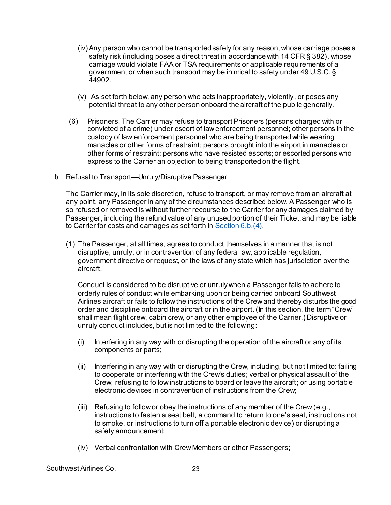- (iv) Any person who cannot be transported safely for any reason, whose carriage poses a safety risk (including poses a direct threat in accordance with 14 CFR § 382), whose carriage would violate FAA or TSA requirements or applicable requirements of a government or when such transport may be inimical to safety under 49 U.S.C. § 44902.
- (v) As set forth below, any person who acts inappropriately, violently, or poses any potential threat to any other person onboard the aircraft of the public generally.
- (6) Prisoners. The Carrier may refuse to transport Prisoners (persons charged with or convicted of a crime) under escort of law enforcement personnel; other persons in the custody of law enforcement personnel who are being transported while wearing manacles or other forms of restraint; persons brought into the airport in manacles or other forms of restraint; persons who have resisted escorts; or escorted persons who express to the Carrier an objection to being transported on the flight.
- b. Refusal to Transport—Unruly/Disruptive Passenger

The Carrier may, in its sole discretion, refuse to transport, or may remove from an aircraft at any point, any Passenger in any of the circumstances described below. A Passenger who is so refused or removed is without further recourse to the Carrier for any damages claimed by Passenger, including the refund value of any unused portion of their Ticket, and may be liable to Carrier for costs and damages as set forth i[n Section 6.b.\(4\)](#page-24-0).

(1) The Passenger, at all times, agrees to conduct themselves in a manner that is not disruptive, unruly, or in contravention of any federal law, applicable regulation, government directive or request, or the laws of any state which has jurisdiction over the aircraft.

Conduct is considered to be disruptive or unruly when a Passenger fails to adhere to orderly rules of conduct while embarking upon or being carried onboard Southwest Airlines aircraft or fails to follow the instructions of the Crew and thereby disturbs the good order and discipline onboard the aircraft or in the airport. (In this section, the term "Crew" shall mean flight crew, cabin crew, or any other employee of the Carrier.) Disruptive or unruly conduct includes, but is not limited to the following:

- (i) Interfering in any way with or disrupting the operation of the aircraft or any of its components or parts;
- (ii) Interfering in any way with or disrupting the Crew, including, but not limited to: failing to cooperate or interfering with the Crew's duties; verbal or physical assault of the Crew; refusing to follow instructions to board or leave the aircraft; or using portable electronic devices in contravention of instructions from the Crew;
- (iii) Refusing to follow or obey the instructions of any member of the Crew (e.g., instructions to fasten a seat belt, a command to return to one's seat, instructions not to smoke, or instructions to turn off a portable electronic device) or disrupting a safety announcement;
- (iv) Verbal confrontation with Crew Members or other Passengers;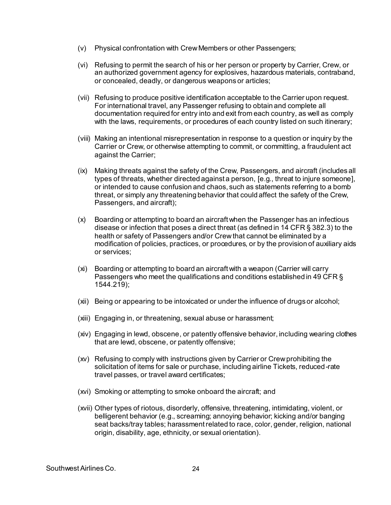- (v) Physical confrontation with Crew Members or other Passengers;
- (vi) Refusing to permit the search of his or her person or property by Carrier, Crew, or an authorized government agency for explosives, hazardous materials, contraband, or concealed, deadly, or dangerous weapons or articles;
- (vii) Refusing to produce positive identification acceptable to the Carrier upon request. For international travel, any Passenger refusing to obtain and complete all documentation required for entry into and exit from each country, as well as comply with the laws, requirements, or procedures of each country listed on such itinerary;
- (viii) Making an intentional misrepresentation in response to a question or inquiry by the Carrier or Crew, or otherwise attempting to commit, or committing, a fraudulent act against the Carrier;
- (ix) Making threats against the safety of the Crew, Passengers, and aircraft (includes all types of threats, whether directed against a person, [e.g., threat to injure someone], or intended to cause confusion and chaos, such as statements referring to a bomb threat, or simply any threatening behavior that could affect the safety of the Crew, Passengers, and aircraft);
- (x) Boarding or attempting to board an aircraft when the Passenger has an infectious disease or infection that poses a direct threat (as defined in 14 CFR § 382.3) to the health or safety of Passengers and/or Crew that cannot be eliminated by a modification of policies, practices, or procedures, or by the provision of auxiliary aids or services;
- (xi) Boarding or attempting to board an aircraft with a weapon (Carrier will carry Passengers who meet the qualifications and conditions established in 49 CFR § 1544.219);
- (xii) Being or appearing to be intoxicated or under the influence of drugs or alcohol;
- (xiii) Engaging in, or threatening, sexual abuse or harassment;
- (xiv) Engaging in lewd, obscene, or patently offensive behavior, including wearing clothes that are lewd, obscene, or patently offensive;
- (xv) Refusing to comply with instructions given by Carrier or Crew prohibiting the solicitation of items for sale or purchase, including airline Tickets, reduced-rate travel passes, or travel award certificates;
- (xvi) Smoking or attempting to smoke onboard the aircraft; and
- (xvii) Other types of riotous, disorderly, offensive, threatening, intimidating, violent, or belligerent behavior (e.g., screaming; annoying behavior; kicking and/or banging seat backs/tray tables; harassment related to race, color, gender, religion, national origin, disability, age, ethnicity, or sexual orientation).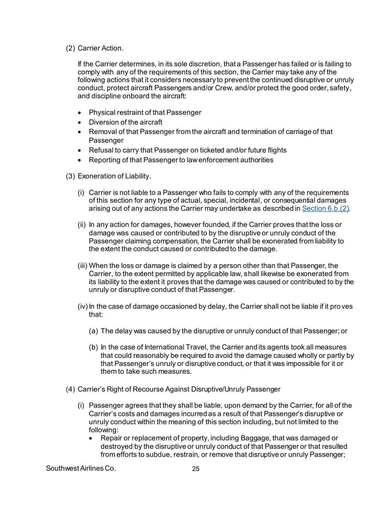<span id="page-24-1"></span>(2) Carrier Action.

If the Carrier determines, in its sole discretion, that a Passenger has failed or is failing to comply with any of the requirements of this section, the Carrier may take any of the following actions that it considers necessary to prevent the continued disruptive or unruly conduct, protect aircraft Passengers and/or Crew, and/or protect the good order, safety, and discipline onboard the aircraft:

- Physical restraint of that Passenger
- Diversion of the aircraft
- Removal of that Passenger from the aircraft and termination of carriage of that Passenger
- Refusal to carry that Passenger on ticketed and/or future flights
- Reporting of that Passenger to law enforcement authorities

(3) Exoneration of Liability.

- (i) Carrier is not liable to a Passenger who fails to comply with any of the requirements of this section for any type of actual, special, incidental, or consequential damages arising out of any actions the Carrier may undertake as described i[n Section 6.b.\(2\)](#page-24-1).
- (ii) In any action for damages, however founded, if the Carrier proves that the loss or damage was caused or contributed to by the disruptive or unruly conduct of the Passenger claiming compensation, the Carrier shall be exonerated from liability to the extent the conduct caused or contributed to the damage.
- (iii) When the loss or damage is claimed by a person other than that Passenger, the Carrier, to the extent permitted by applicable law, shall likewise be exonerated from its liability to the extent it proves that the damage was caused or contributed to by the unruly or disruptive conduct of that Passenger.
- (iv) In the case of damage occasioned by delay, the Carrier shall not be liable if it proves that:
	- (a) The delay was caused by the disruptive or unruly conduct of that Passenger; or
	- (b) In the case of International Travel, the Carrier and its agents took all measures that could reasonably be required to avoid the damage caused wholly or partly by that Passenger's unruly or disruptive conduct, or that it was impossible for it or them to take such measures.
- <span id="page-24-0"></span>(4) Carrier's Right of Recourse Against Disruptive/Unruly Passenger
	- (i) Passenger agrees that they shall be liable, upon demand by the Carrier, for all of the Carrier's costs and damages incurred as a result of that Passenger's disruptive or unruly conduct within the meaning of this section including, but not limited to the following:
		- Repair or replacement of property, including Baggage, that was damaged or destroyed by the disruptive or unruly conduct of that Passenger or that resulted from efforts to subdue, restrain, or remove that disruptive or unruly Passenger;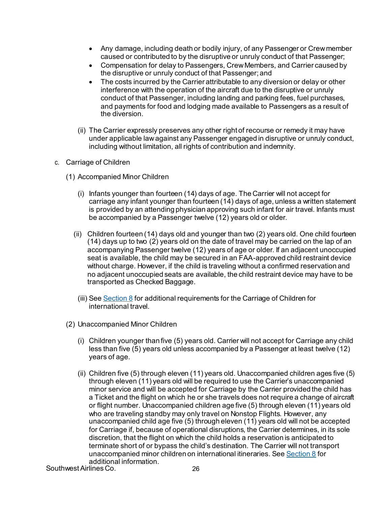- Any damage, including death or bodily injury, of any Passenger or Crew member caused or contributed to by the disruptive or unruly conduct of that Passenger;
- Compensation for delay to Passengers, Crew Members, and Carrier caused by the disruptive or unruly conduct of that Passenger; and
- The costs incurred by the Carrier attributable to any diversion or delay or other interference with the operation of the aircraft due to the disruptive or unruly conduct of that Passenger, including landing and parking fees, fuel purchases, and payments for food and lodging made available to Passengers as a result of the diversion.
- (ii) The Carrier expressly preserves any other right of recourse or remedy it may have under applicable law against any Passenger engaged in disruptive or unruly conduct, including without limitation, all rights of contribution and indemnity.
- c. Carriage of Children
	- (1) Accompanied Minor Children
		- (i) Infants younger than fourteen (14) days of age. The Carrier will not accept for carriage any infant younger than fourteen (14) days of age, unless a written statement is provided by an attending physician approving such infant for air travel. Infants must be accompanied by a Passenger twelve (12) years old or older.
		- (ii) Children fourteen (14) days old and younger than two (2) years old. One child fourteen (14) days up to two (2) years old on the date of travel may be carried on the lap of an accompanying Passenger twelve (12) years of age or older. If an adjacent unoccupied seat is available, the child may be secured in an FAA-approved child restraint device without charge. However, if the child is traveling without a confirmed reservation and no adjacent unoccupied seats are available, the child restraint device may have to be transported as Checked Baggage.
			- (iii) See Section  $8$  for additional requirements for the Carriage of Children for international travel.
	- (2) Unaccompanied Minor Children
		- (i) Children younger than five (5) years old. Carrier will not accept for Carriage any child less than five (5) years old unless accompanied by a Passenger at least twelve (12) years of age.
		- (ii) Children five (5) through eleven (11) years old. Unaccompanied children ages five (5) through eleven (11) years old will be required to use the Carrier's unaccompanied minor service and will be accepted for Carriage by the Carrier provided the child has a Ticket and the flight on which he or she travels does not require a change of aircraft or flight number. Unaccompanied children age five (5) through eleven (11) years old who are traveling standby may only travel on Nonstop Flights. However, any unaccompanied child age five (5) through eleven (11) years old will not be accepted for Carriage if, because of operational disruptions, the Carrier determines, in its sole discretion, that the flight on which the child holds a reservation is anticipated to terminate short of or bypass the child's destination. The Carrier will not transport unaccompanied minor children on international itineraries. Se[e Section 8](#page-41-0) for additional information.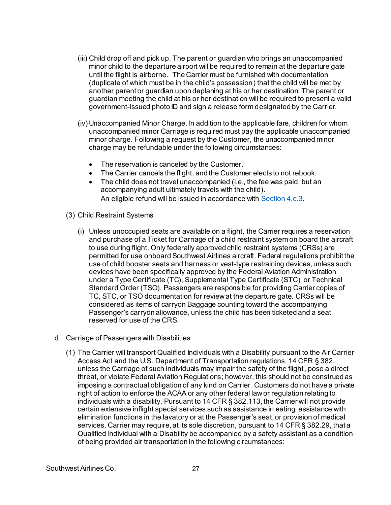- (iii) Child drop off and pick up. The parent or guardian who brings an unaccompanied minor child to the departure airport will be required to remain at the departure gate until the flight is airborne. The Carrier must be furnished with documentation (duplicate of which must be in the child's possession) that the child will be met by another parent or guardian upon deplaning at his or her destination. The parent or guardian meeting the child at his or her destination will be required to present a valid government-issued photo ID and sign a release form designated by the Carrier.
- (iv) Unaccompanied Minor Charge. In addition to the applicable fare, children for whom unaccompanied minor Carriage is required must pay the applicable unaccompanied minor charge. Following a request by the Customer, the unaccompanied minor charge may be refundable under the following circumstances:
	- The reservation is canceled by the Customer.
	- The Carrier cancels the flight, and the Customer elects to not rebook.
	- The child does not travel unaccompanied (i.e., the fee was paid, but an accompanying adult ultimately travels with the child). An eligible refund will be issued in accordance wit[h Section 4.c.3](#page-16-0).
- (3) Child Restraint Systems
	- (i) Unless unoccupied seats are available on a flight, the Carrier requires a reservation and purchase of a Ticket for Carriage of a child restraint system on board the aircraft to use during flight. Only federally approved child restraint systems (CRSs) are permitted for use onboard Southwest Airlines aircraft. Federal regulations prohibit the use of child booster seats and harness or vest-type restraining devices, unless such devices have been specifically approved by the Federal Aviation Administration under a Type Certificate (TC), Supplemental Type Certificate (STC), or Technical Standard Order (TSO). Passengers are responsible for providing Carrier copies of TC, STC, or TSO documentation for review at the departure gate. CRSs will be considered as items of carryon Baggage counting toward the accompanying Passenger's carryon allowance, unless the child has been ticketed and a seat reserved for use of the CRS.
- d. Carriage of Passengers with Disabilities
	- (1) The Carrier will transport Qualified Individuals with a Disability pursuant to the Air Carrier Access Act and the U.S. Department of Transportation regulations, 14 CFR § 382, unless the Carriage of such individuals may impair the safety of the flight, pose a direct threat, or violate Federal Aviation Regulations; however, this should not be construed as imposing a contractual obligation of any kind on Carrier. Customers do not have a private right of action to enforce the ACAA or any other federal law or regulation relating to individuals with a disability. Pursuant to 14 CFR § 382.113, the Carrier will not provide certain extensive inflight special services such as assistance in eating, assistance with elimination functions in the lavatory or at the Passenger's seat, or provision of medical services. Carrier may require, at its sole discretion, pursuant to 14 CFR § 382.29, that a Qualified Individual with a Disability be accompanied by a safety assistant as a condition of being provided air transportation in the following circumstances: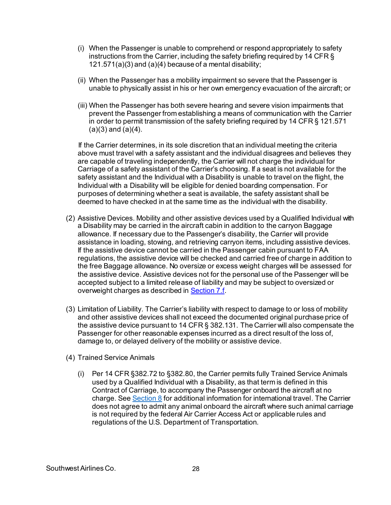- (i) When the Passenger is unable to comprehend or respond appropriately to safety instructions from the Carrier, including the safety briefing required by 14 CFR § 121.571(a)(3) and (a)(4) because of a mental disability;
- (ii) When the Passenger has a mobility impairment so severe that the Passenger is unable to physically assist in his or her own emergency evacuation of the aircraft; or
- (iii) When the Passenger has both severe hearing and severe vision impairments that prevent the Passenger from establishing a means of communication with the Carrier in order to permit transmission of the safety briefing required by 14 CFR § 121.571  $(a)(3)$  and  $(a)(4)$ .

If the Carrier determines, in its sole discretion that an individual meeting the criteria above must travel with a safety assistant and the individual disagrees and believes they are capable of traveling independently, the Carrier will not charge the individual for Carriage of a safety assistant of the Carrier's choosing. If a seat is not available for the safety assistant and the Individual with a Disability is unable to travel on the flight, the Individual with a Disability will be eligible for denied boarding compensation. For purposes of determining whether a seat is available, the safety assistant shall be deemed to have checked in at the same time as the individual with the disability.

- <span id="page-27-0"></span>(2) Assistive Devices. Mobility and other assistive devices used by a Qualified Individual with a Disability may be carried in the aircraft cabin in addition to the carryon Baggage allowance. If necessary due to the Passenger's disability, the Carrier will provide assistance in loading, stowing, and retrieving carryon items, including assistive devices. If the assistive device cannot be carried in the Passenger cabin pursuant to FAA regulations, the assistive device will be checked and carried free of charge in addition to the free Baggage allowance. No oversize or excess weight charges will be assessed for the assistive device. Assistive devices not for the personal use of the Passenger will be accepted subject to a limited release of liability and may be subject to oversized or overweight charges as described i[n Section 7.f](#page-36-0).
- (3) Limitation of Liability. The Carrier's liability with respect to damage to or loss of mobility and other assistive devices shall not exceed the documented original purchase price of the assistive device pursuant to 14 CFR § 382.131. The Carrier will also compensate the Passenger for other reasonable expenses incurred as a direct result of the loss of, damage to, or delayed delivery of the mobility or assistive device.
- <span id="page-27-1"></span>(4) Trained Service Animals
	- (i) Per 14 CFR §382.72 to §382.80, the Carrier permits fully Trained Service Animals used by a Qualified Individual with a Disability, as that term is defined in this Contract of Carriage, to accompany the Passenger onboard the aircraft at no charge. Se[e Section 8](#page-41-0) for additional information for international travel. The Carrier does not agree to admit any animal onboard the aircraft where such animal carriage is not required by the federal Air Carrier Access Act or applicable rules and regulations of the U.S. Department of Transportation.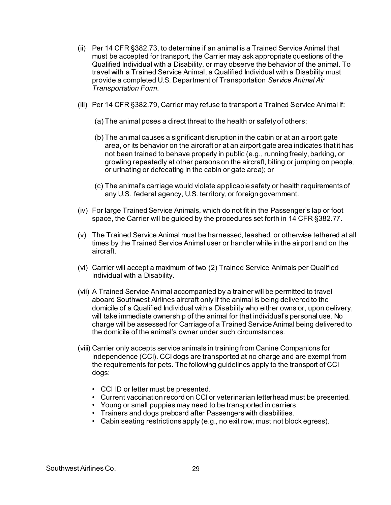- (ii) Per 14 CFR §382.73, to determine if an animal is a Trained Service Animal that must be accepted for transport, the Carrier may ask appropriate questions of the Qualified Individual with a Disability, or may observe the behavior of the animal. To travel with a Trained Service Animal, a Qualified Individual with a Disability must provide a completed U.S. Department of Transportation *Service Animal Air Transportation Form*.
- (iii) Per 14 CFR §382.79, Carrier may refuse to transport a Trained Service Animal if:
	- (a) The animal poses a direct threat to the health or safety of others;
	- (b) The animal causes a significant disruption in the cabin or at an airport gate area, or its behavior on the aircraft or at an airport gate area indicates that it has not been trained to behave properly in public (e.g., running freely, barking, or growling repeatedly at other persons on the aircraft, biting or jumping on people, or urinating or defecating in the cabin or gate area); or
	- (c) The animal's carriage would violate applicable safety or health requirements of any U.S. federal agency, U.S. territory, or foreign government.
- (iv) For large Trained Service Animals, which do not fit in the Passenger's lap or foot space, the Carrier will be guided by the procedures set forth in 14 CFR §382.77.
- (v) The Trained Service Animal must be harnessed, leashed, or otherwise tethered at all times by the Trained Service Animal user or handler while in the airport and on the aircraft.
- (vi) Carrier will accept a maximum of two (2) Trained Service Animals per Qualified Individual with a Disability.
- (vii) A Trained Service Animal accompanied by a trainer will be permitted to travel aboard Southwest Airlines aircraft only if the animal is being delivered to the domicile of a Qualified Individual with a Disability who either owns or, upon delivery, will take immediate ownership of the animal for that individual's personal use. No charge will be assessed for Carriage of a Trained Service Animal being delivered to the domicile of the animal's owner under such circumstances.
- (viii) Carrier only accepts service animals in training from Canine Companions for Independence (CCI). CCI dogs are transported at no charge and are exempt from the requirements for pets. The following guidelines apply to the transport of CCI dogs:
	- CCI ID or letter must be presented.
	- Current vaccination record on CCI or veterinarian letterhead must be presented.
	- Young or small puppies may need to be transported in carriers.
	- Trainers and dogs preboard after Passengers with disabilities.
	- Cabin seating restrictions apply (e.g., no exit row, must not block egress).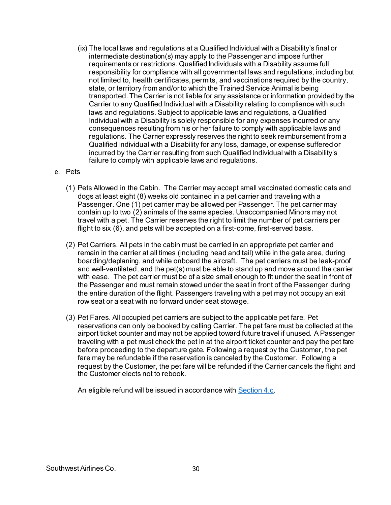(ix) The local laws and regulations at a Qualified Individual with a Disability's final or intermediate destination(s) may apply to the Passenger and impose further requirements or restrictions. Qualified Individuals with a Disability assume full responsibility for compliance with all governmental laws and regulations, including but not limited to, health certificates, permits, and vaccinations required by the country, state, or territory from and/or to which the Trained Service Animal is being transported. The Carrier is not liable for any assistance or information provided by the Carrier to any Qualified Individual with a Disability relating to compliance with such laws and regulations. Subject to applicable laws and regulations, a Qualified Individual with a Disability is solely responsible for any expenses incurred or any consequences resulting from his or her failure to comply with applicable laws and regulations. The Carrier expressly reserves the right to seek reimbursement from a Qualified Individual with a Disability for any loss, damage, or expense suffered or incurred by the Carrier resulting from such Qualified Individual with a Disability's failure to comply with applicable laws and regulations.

#### e. Pets

- (1) Pets Allowed in the Cabin. The Carrier may accept small vaccinated domestic cats and dogs at least eight (8) weeks old contained in a pet carrier and traveling with a Passenger. One (1) pet carrier may be allowed per Passenger. The pet carrier may contain up to two (2) animals of the same species. Unaccompanied Minors may not travel with a pet. The Carrier reserves the right to limit the number of pet carriers per flight to six (6), and pets will be accepted on a first-come, first-served basis.
- (2) Pet Carriers. All pets in the cabin must be carried in an appropriate pet carrier and remain in the carrier at all times (including head and tail) while in the gate area, during boarding/deplaning, and while onboard the aircraft. The pet carriers must be leak-proof and well-ventilated, and the pet(s) must be able to stand up and move around the carrier with ease. The pet carrier must be of a size small enough to fit under the seat in front of the Passenger and must remain stowed under the seat in front of the Passenger during the entire duration of the flight. Passengers traveling with a pet may not occupy an exit row seat or a seat with no forward under seat stowage.
- (3) Pet Fares. All occupied pet carriers are subject to the applicable pet fare. Pet reservations can only be booked by calling Carrier. The pet fare must be collected at the airport ticket counter and may not be applied toward future travel if unused. A Passenger traveling with a pet must check the pet in at the airport ticket counter and pay the pet fare before proceeding to the departure gate. Following a request by the Customer, the pet fare may be refundable if the reservation is canceled by the Customer. Following a request by the Customer, the pet fare will be refunded if the Carrier cancels the flight and the Customer elects not to rebook.

An eligible refund will be issued in accordance wit[h Section 4.c](#page-15-0).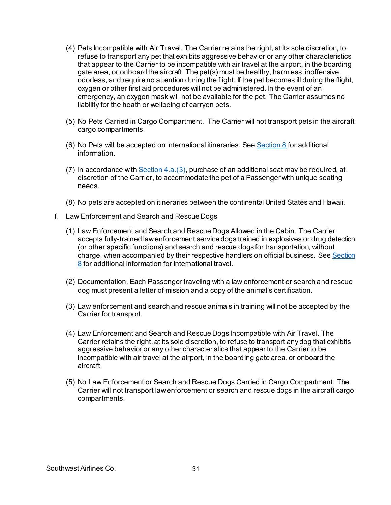- (4) Pets Incompatible with Air Travel. The Carrier retains the right, at its sole discretion, to refuse to transport any pet that exhibits aggressive behavior or any other characteristics that appear to the Carrier to be incompatible with air travel at the airport, in the boarding gate area, or onboard the aircraft. The pet(s) must be healthy, harmless, inoffensive, odorless, and require no attention during the flight. If the pet becomes ill during the flight, oxygen or other first aid procedures will not be administered. In the event of an emergency, an oxygen mask will not be available for the pet. The Carrier assumes no liability for the heath or wellbeing of carryon pets.
- (5) No Pets Carried in Cargo Compartment. The Carrier will not transport pets in the aircraft cargo compartments.
- (6) No Pets will be accepted on international itineraries. See Section  $8$  for additional information.
- <span id="page-30-0"></span>(7) In accordance with Section  $4.a.(3)$ , purchase of an additional seat may be required, at discretion of the Carrier, to accommodate the pet of a Passenger with unique seating needs.
- (8) No pets are accepted on itineraries between the continental United States and Hawaii.
- <span id="page-30-1"></span>f. Law Enforcement and Search and Rescue Dogs
	- (1) Law Enforcement and Search and Rescue Dogs Allowed in the Cabin. The Carrier accepts fully-trained law enforcement service dogs trained in explosives or drug detection (or other specific functions) and search and rescue dogs for transportation, without charge, when accompanied by their respective handlers on official business. See [Section](#page-41-0)  [8](#page-41-0) for additional information for international travel.
	- (2) Documentation. Each Passenger traveling with a law enforcement or search and rescue dog must present a letter of mission and a copy of the animal's certification.
	- (3) Law enforcement and search and rescue animals in training will not be accepted by the Carrier for transport.
	- (4) Law Enforcement and Search and Rescue Dogs Incompatible with Air Travel. The Carrier retains the right, at its sole discretion, to refuse to transport any dog that exhibits aggressive behavior or any other characteristics that appear to the Carrier to be incompatible with air travel at the airport, in the boarding gate area, or onboard the aircraft.
	- (5) No Law Enforcement or Search and Rescue Dogs Carried in Cargo Compartment. The Carrier will not transport law enforcement or search and rescue dogs in the aircraft cargo compartments.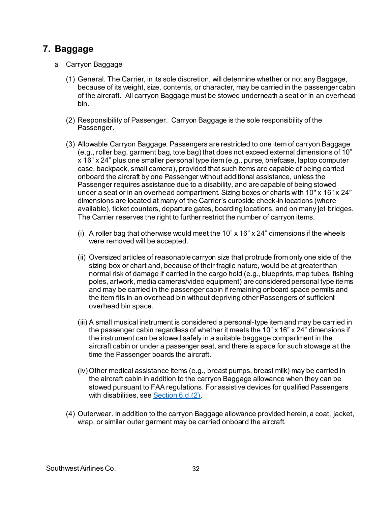## <span id="page-31-0"></span>**7. Baggage**

- a. Carryon Baggage
	- (1) General. The Carrier, in its sole discretion, will determine whether or not any Baggage, because of its weight, size, contents, or character, may be carried in the passenger cabin of the aircraft. All carryon Baggage must be stowed underneath a seat or in an overhead bin.
	- (2) Responsibility of Passenger. Carryon Baggage is the sole responsibility of the Passenger.
	- (3) Allowable Carryon Baggage. Passengers are restricted to one item of carryon Baggage (e.g., roller bag, garment bag, tote bag) that does not exceed external dimensions of 10" x 16" x 24" plus one smaller personal type item (e.g., purse, briefcase, laptop computer case, backpack, small camera), provided that such items are capable of being carried onboard the aircraft by one Passenger without additional assistance, unless the Passenger requires assistance due to a disability, and are capable of being stowed under a seat or in an overhead compartment. Sizing boxes or charts with 10" x 16" x 24" dimensions are located at many of the Carrier's curbside check-in locations (where available), ticket counters, departure gates, boarding locations, and on many jet bridges. The Carrier reserves the right to further restrict the number of carryon items.
		- (i) A roller bag that otherwise would meet the 10"  $\times$  16"  $\times$  24" dimensions if the wheels were removed will be accepted.
		- (ii) Oversized articles of reasonable carryon size that protrude from only one side of the sizing box or chart and, because of their fragile nature, would be at greater than normal risk of damage if carried in the cargo hold (e.g., blueprints, map tubes, fishing poles, artwork, media cameras/video equipment) are considered personal type items and may be carried in the passenger cabin if remaining onboard space permits and the item fits in an overhead bin without depriving other Passengers of sufficient overhead bin space.
		- (iii) A small musical instrument is considered a personal-type item and may be carried in the passenger cabin regardless of whether it meets the 10"  $\times$  16"  $\times$  24" dimensions if the instrument can be stowed safely in a suitable baggage compartment in the aircraft cabin or under a passenger seat, and there is space for such stowage at the time the Passenger boards the aircraft.
		- (iv) Other medical assistance items (e.g., breast pumps, breast milk) may be carried in the aircraft cabin in addition to the carryon Baggage allowance when they can be stowed pursuant to FAA regulations. For assistive devices for qualified Passengers with disabilities, see **[Section 6.d.\(2\)](#page-27-0)**.
	- (4) Outerwear. In addition to the carryon Baggage allowance provided herein, a coat, jacket, wrap, or similar outer garment may be carried onboard the aircraft.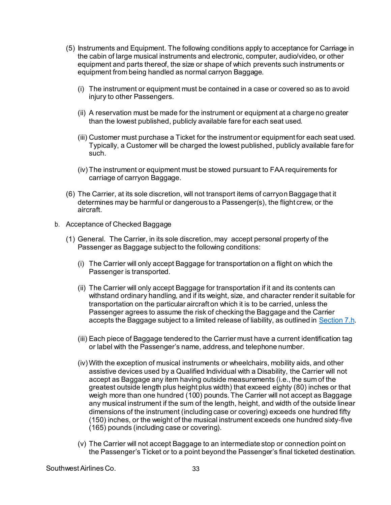- (5) Instruments and Equipment. The following conditions apply to acceptance for Carriage in the cabin of large musical instruments and electronic, computer, audio/video, or other equipment and parts thereof, the size or shape of which prevents such instruments or equipment from being handled as normal carryon Baggage.
	- (i) The instrument or equipment must be contained in a case or covered so as to avoid injury to other Passengers.
	- (ii) A reservation must be made for the instrument or equipment at a charge no greater than the lowest published, publicly available fare for each seat used.
	- (iii) Customer must purchase a Ticket for the instrument or equipment for each seat used. Typically, a Customer will be charged the lowest published, publicly available fare for such.
	- (iv) The instrument or equipment must be stowed pursuant to FAA requirements for carriage of carryon Baggage.
- (6) The Carrier, at its sole discretion, will not transport items of carryon Baggage that it determines may be harmful or dangerous to a Passenger(s), the flight crew, or the aircraft.
- b. Acceptance of Checked Baggage
	- (1) General. The Carrier, in its sole discretion, may accept personal property of the Passenger as Baggage subject to the following conditions:
		- (i) The Carrier will only accept Baggage for transportation on a flight on which the Passenger is transported.
		- (ii) The Carrier will only accept Baggage for transportation if it and its contents can withstand ordinary handling, and if its weight, size, and character render it suitable for transportation on the particular aircraft on which it is to be carried, unless the Passenger agrees to assume the risk of checking the Baggage and the Carrier accepts the Baggage subject to a limited release of liability, as outlined in [Section 7.h](#page-37-0).
		- (iii) Each piece of Baggage tendered to the Carrier must have a current identification tag or label with the Passenger's name, address, and telephone number.
		- (iv) With the exception of musical instruments or wheelchairs, mobility aids, and other assistive devices used by a Qualified Individual with a Disability, the Carrier will not accept as Baggage any item having outside measurements (i.e., the sum of the greatest outside length plus height plus width) that exceed eighty (80) inches or that weigh more than one hundred (100) pounds. The Carrier will not accept as Baggage any musical instrument if the sum of the length, height, and width of the outside linear dimensions of the instrument (including case or covering) exceeds one hundred fifty (150) inches, or the weight of the musical instrument exceeds one hundred sixty-five (165) pounds (including case or covering).
		- (v) The Carrier will not accept Baggage to an intermediate stop or connection point on the Passenger's Ticket or to a point beyond the Passenger's final ticketed destination.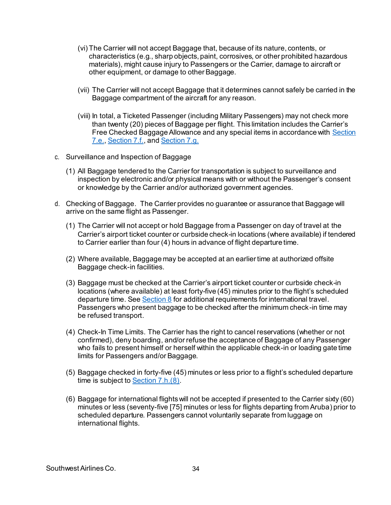- (vi) The Carrier will not accept Baggage that, because of its nature, contents, or characteristics (e.g., sharp objects, paint, corrosives, or other prohibited hazardous materials), might cause injury to Passengers or the Carrier, damage to aircraft or other equipment, or damage to other Baggage.
- (vii) The Carrier will not accept Baggage that it determines cannot safely be carried in the Baggage compartment of the aircraft for any reason.
- (viii) In total, a Ticketed Passenger (including Military Passengers) may not check more than twenty (20) pieces of Baggage per flight. This limitation includes the Carrier's Free Checked Baggage Allowance and any special items in accordance wit[h Section](#page-34-0)  [7.e.,](#page-34-0) [Section 7.f.](#page-36-0), an[d Section 7.g.](#page-36-1)
- c. Surveillance and Inspection of Baggage
	- (1) All Baggage tendered to the Carrier for transportation is subject to surveillance and inspection by electronic and/or physical means with or without the Passenger's consent or knowledge by the Carrier and/or authorized government agencies.
- d. Checking of Baggage. The Carrier provides no guarantee or assurance that Baggage will arrive on the same flight as Passenger.
	- (1) The Carrier will not accept or hold Baggage from a Passenger on day of travel at the Carrier's airport ticket counter or curbside check-in locations (where available) if tendered to Carrier earlier than four (4) hours in advance of flight departure time.
	- (2) Where available, Baggage may be accepted at an earlier time at authorized offsite Baggage check-in facilities.
	- (3) Baggage must be checked at the Carrier's airport ticket counter or curbside check-in locations (where available) at least forty-five (45) minutes prior to the flight's scheduled departure time. Se[e Section 8](#page-41-0) for additional requirements for international travel. Passengers who present baggage to be checked after the minimum check-in time may be refused transport.
	- (4) Check-In Time Limits. The Carrier has the right to cancel reservations (whether or not confirmed), deny boarding, and/or refuse the acceptance of Baggage of any Passenger who fails to present himself or herself within the applicable check-in or loading gate time limits for Passengers and/or Baggage.
	- (5) Baggage checked in forty-five (45) minutes or less prior to a flight's scheduled departure time is subject t[o Section 7.h.\(8\)](#page-38-0).
	- (6) Baggage for international flights will not be accepted if presented to the Carrier sixty (60) minutes or less (seventy-five [75] minutes or less for flights departing from Aruba) prior to scheduled departure. Passengers cannot voluntarily separate from luggage on international flights.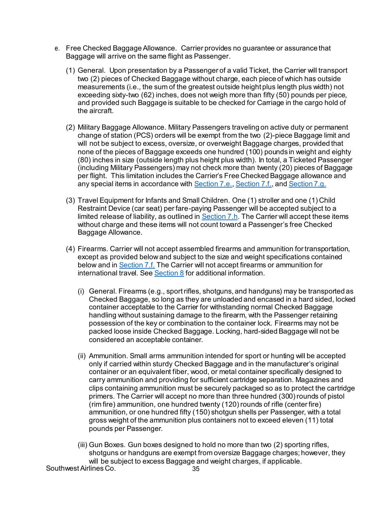- <span id="page-34-0"></span>e. Free Checked Baggage Allowance. Carrier provides no guarantee or assurance that Baggage will arrive on the same flight as Passenger.
	- (1) General. Upon presentation by a Passenger of a valid Ticket, the Carrier will transport two (2) pieces of Checked Baggage without charge, each piece of which has outside measurements (i.e., the sum of the greatest outside height plus length plus width) not exceeding sixty-two (62) inches, does not weigh more than fifty (50) pounds per piece, and provided such Baggage is suitable to be checked for Carriage in the cargo hold of the aircraft.
	- (2) Military Baggage Allowance. Military Passengers traveling on active duty or permanent change of station (PCS) orders will be exempt from the two (2)-piece Baggage limit and will not be subject to excess, oversize, or overweight Baggage charges, provided that none of the pieces of Baggage exceeds one hundred (100) pounds in weight and eighty (80) inches in size (outside length plus height plus width). In total, a Ticketed Passenger (including Military Passengers) may not check more than twenty (20) pieces of Baggage per flight. This limitation includes the Carrier's Free Checked Baggage allowance and any special items in accordance wit[h Section 7.e.](#page-34-0)[, Section 7.f.](#page-36-0), an[d Section 7.g.](#page-36-1)
	- (3) Travel Equipment for Infants and Small Children. One (1) stroller and one (1) Child Restraint Device (car seat) per fare-paying Passenger will be accepted subject to a limited release of liability, as outlined i[n Section 7.h](#page-37-0). The Carrier will accept these items without charge and these items will not count toward a Passenger's free Checked Baggage Allowance.
	- (4) Firearms. Carrier will not accept assembled firearms and ammunition for transportation, except as provided below and subject to the size and weight specifications contained below and in [Section 7.f.](#page-36-0) The Carrier will not accept firearms or ammunition for international travel. Se[e Section 8](#page-41-0) for additional information.
		- (i) General. Firearms (e.g., sport rifles, shotguns, and handguns) may be transported as Checked Baggage, so long as they are unloaded and encased in a hard sided, locked container acceptable to the Carrier for withstanding normal Checked Baggage handling without sustaining damage to the firearm, with the Passenger retaining possession of the key or combination to the container lock. Firearms may not be packed loose inside Checked Baggage. Locking, hard-sided Baggage will not be considered an acceptable container.
		- (ii) Ammunition. Small arms ammunition intended for sport or hunting will be accepted only if carried within sturdy Checked Baggage and in the manufacturer's original container or an equivalent fiber, wood, or metal container specifically designed to carry ammunition and providing for sufficient cartridge separation. Magazines and clips containing ammunition must be securely packaged so as to protect the cartridge primers. The Carrier will accept no more than three hundred (300) rounds of pistol (rim fire) ammunition, one hundred twenty (120) rounds of rifle (center fire) ammunition, or one hundred fifty (150) shotgun shells per Passenger, with a total gross weight of the ammunition plus containers not to exceed eleven (11) total pounds per Passenger.
		- (iii) Gun Boxes. Gun boxes designed to hold no more than two (2) sporting rifles, shotguns or handguns are exempt from oversize Baggage charges; however, they will be subject to excess Baggage and weight charges, if applicable.

Southwest Airlines Co. 2008 10:00:00 135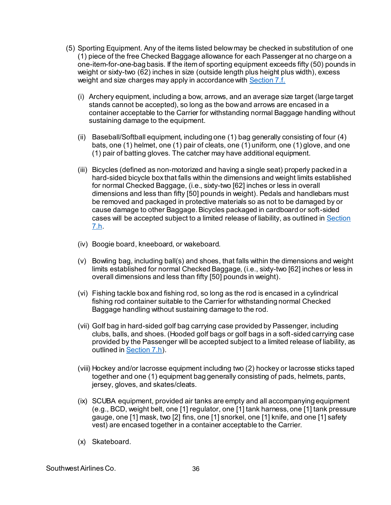- (5) Sporting Equipment. Any of the items listed below may be checked in substitution of one (1) piece of the free Checked Baggage allowance for each Passenger at no charge on a one-item-for-one-bag basis. If the item of sporting equipment exceeds fifty (50) pounds in weight or sixty-two (62) inches in size (outside length plus height plus width), excess weight and size charges may apply in accordance with [Section 7.f.](#page-36-0)
	- (i) Archery equipment, including a bow, arrows, and an average size target (large target stands cannot be accepted), so long as the bow and arrows are encased in a container acceptable to the Carrier for withstanding normal Baggage handling without sustaining damage to the equipment.
	- (ii) Baseball/Softball equipment, including one (1) bag generally consisting of four (4) bats, one (1) helmet, one (1) pair of cleats, one (1) uniform, one (1) glove, and one (1) pair of batting gloves. The catcher may have additional equipment.
	- (iii) Bicycles (defined as non-motorized and having a single seat) properly packed in a hard-sided bicycle box that falls within the dimensions and weight limits established for normal Checked Baggage, (i.e., sixty-two [62] inches or less in overall dimensions and less than fifty [50] pounds in weight). Pedals and handlebars must be removed and packaged in protective materials so as not to be damaged by or cause damage to other Baggage. Bicycles packaged in cardboard or soft-sided cases will be accepted subject to a limited release of liability, as outlined in [Section](#page-37-0)  [7.h.](#page-37-0)
	- (iv) Boogie board, kneeboard, or wakeboard.
	- (v) Bowling bag, including ball(s) and shoes, that falls within the dimensions and weight limits established for normal Checked Baggage, (i.e., sixty-two [62] inches or less in overall dimensions and less than fifty [50] pounds in weight).
	- (vi) Fishing tackle box and fishing rod, so long as the rod is encased in a cylindrical fishing rod container suitable to the Carrier for withstanding normal Checked Baggage handling without sustaining damage to the rod.
	- (vii) Golf bag in hard-sided golf bag carrying case provided by Passenger, including clubs, balls, and shoes. (Hooded golf bags or golf bags in a soft-sided carrying case provided by the Passenger will be accepted subject to a limited release of liability, as outlined in **Section 7.h**).
	- (viii) Hockey and/or lacrosse equipment including two (2) hockey or lacrosse sticks taped together and one (1) equipment bag generally consisting of pads, helmets, pants, jersey, gloves, and skates/cleats.
	- (ix) SCUBA equipment, provided air tanks are empty and all accompanying equipment (e.g., BCD, weight belt, one [1] regulator, one [1] tank harness, one [1] tank pressure gauge, one [1] mask, two [2] fins, one [1] snorkel, one [1] knife, and one [1] safety vest) are encased together in a container acceptable to the Carrier.
	- (x) Skateboard.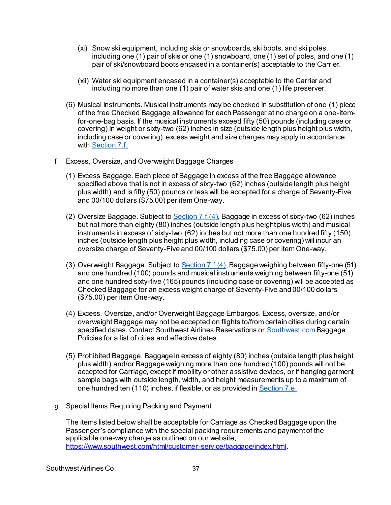- (xi) Snow ski equipment, including skis or snowboards, ski boots, and ski poles, including one (1) pair of skis or one (1) snowboard, one (1) set of poles, and one (1) pair of ski/snowboard boots encased in a container(s) acceptable to the Carrier.
- (xii) Water ski equipment encased in a container(s) acceptable to the Carrier and including no more than one (1) pair of water skis and one (1) life preserver.
- (6) Musical Instruments. Musical instruments may be checked in substitution of one (1) piece of the free Checked Baggage allowance for each Passenger at no charge on a one-itemfor-one-bag basis. If the musical instruments exceed fifty (50) pounds (including case or covering) in weight or sixty-two (62) inches in size (outside length plus height plus width, including case or covering), excess weight and size charges may apply in accordance with [Section 7.f.](#page-36-0)
- <span id="page-36-0"></span>f. Excess, Oversize, and Overweight Baggage Charges
	- (1) Excess Baggage. Each piece of Baggage in excess of the free Baggage allowance specified above that is not in excess of sixty-two (62) inches (outside length plus height plus width) and is fifty (50) pounds or less will be accepted for a charge of Seventy-Five and 00/100 dollars (\$75.00) per item One-way.
	- (2) Oversize Baggage. Subject to [Section 7.f.\(4\)](#page-36-2), Baggage in excess of sixty-two (62) inches but not more than eighty (80) inches (outside length plus height plus width) and musical instruments in excess of sixty-two (62) inches but not more than one hundred fifty (150) inches (outside length plus height plus width, including case or covering) will incur an oversize charge of Seventy-Five and 00/100 dollars (\$75.00) per item One-way.
	- (3) Overweight Baggage. Subject t[o Section 7.f.\(4\)](#page-36-2), Baggage weighing between fifty-one (51) and one hundred (100) pounds and musical instruments weighing between fifty-one (51) and one hundred sixty-five (165) pounds (including case or covering) will be accepted as Checked Baggage for an excess weight charge of Seventy-Five and 00/100 dollars (\$75.00) per item One-way.
	- (4) Excess, Oversize, and/or Overweight Baggage Embargos. Excess, oversize, and/or overweight Baggage may not be accepted on flights to/from certain cities during certain specified dates. Contact Southwest Airlines Reservations or [Southwest.com](http://www.southwest.com/) Baggage Policies for a list of cities and effective dates.
	- (5) Prohibited Baggage. Baggage in excess of eighty (80) inches (outside length plus height plus width) and/or Baggage weighing more than one hundred (100) pounds will not be accepted for Carriage, except if mobility or other assistive devices, or if hanging garment sample bags with outside length, width, and height measurements up to a maximum of one hundred ten (110) inches, if flexible, or as provided i[n Section 7.e.](#page-34-0)
- <span id="page-36-2"></span><span id="page-36-1"></span>g. Special Items Requiring Packing and Payment

The items listed below shall be acceptable for Carriage as Checked Baggage upon the Passenger's compliance with the special packing requirements and payment of the applicable one-way charge as outlined on our website, <https://www.southwest.com/html/customer-service/baggage/index.html>.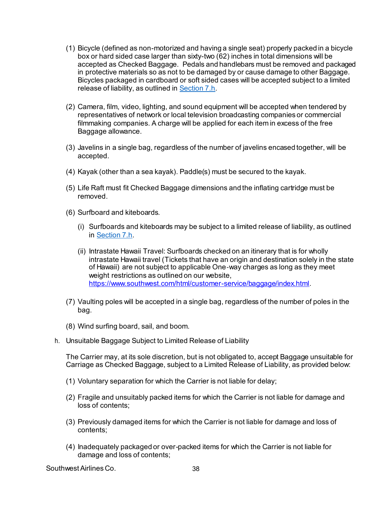- (1) Bicycle (defined as non-motorized and having a single seat) properly packed in a bicycle box or hard sided case larger than sixty-two (62) inches in total dimensions will be accepted as Checked Baggage. Pedals and handlebars must be removed and packaged in protective materials so as not to be damaged by or cause damage to other Baggage. Bicycles packaged in cardboard or soft sided cases will be accepted subject to a limited release of liability, as outlined i[n Section 7.h](#page-37-0).
- (2) Camera, film, video, lighting, and sound equipment will be accepted when tendered by representatives of network or local television broadcasting companies or commercial filmmaking companies. A charge will be applied for each item in excess of the free Baggage allowance.
- (3) Javelins in a single bag, regardless of the number of javelins encased together, will be accepted.
- (4) Kayak (other than a sea kayak). Paddle(s) must be secured to the kayak.
- (5) Life Raft must fit Checked Baggage dimensions and the inflating cartridge must be removed.
- (6) Surfboard and kiteboards.
	- (i) Surfboards and kiteboards may be subject to a limited release of liability, as outlined i[n Section 7.h.](#page-37-0)
	- (ii) Intrastate Hawaii Travel: Surfboards checked on an itinerary that is for wholly intrastate Hawaii travel (Tickets that have an origin and destination solely in the state of Hawaii) are not subject to applicable One‐way charges as long as they meet weight restrictions as outlined on our website, <https://www.southwest.com/html/customer-service/baggage/index.html>.
- (7) Vaulting poles will be accepted in a single bag, regardless of the number of poles in the bag.
- (8) Wind surfing board, sail, and boom.
- <span id="page-37-0"></span>h. Unsuitable Baggage Subject to Limited Release of Liability

The Carrier may, at its sole discretion, but is not obligated to, accept Baggage unsuitable for Carriage as Checked Baggage, subject to a Limited Release of Liability, as provided below:

- (1) Voluntary separation for which the Carrier is not liable for delay;
- (2) Fragile and unsuitably packed items for which the Carrier is not liable for damage and loss of contents;
- (3) Previously damaged items for which the Carrier is not liable for damage and loss of contents;
- (4) Inadequately packaged or over-packed items for which the Carrier is not liable for damage and loss of contents;

Southwest Airlines Co. 68 and 200 and 38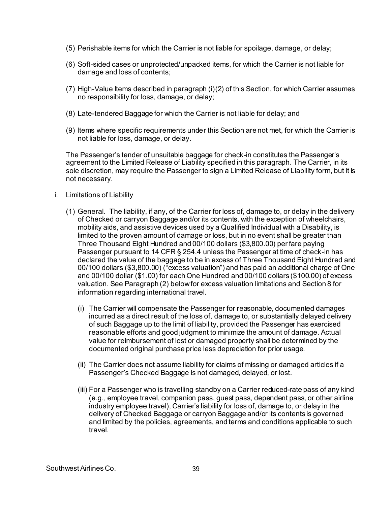- (5) Perishable items for which the Carrier is not liable for spoilage, damage, or delay;
- (6) Soft-sided cases or unprotected/unpacked items, for which the Carrier is not liable for damage and loss of contents;
- $(7)$  High-Value Items described in paragraph  $(i)(2)$  of this Section, for which Carrier assumes no responsibility for loss, damage, or delay;
- <span id="page-38-0"></span>(8) Late-tendered Baggage for which the Carrier is not liable for delay; and
- (9) Items where specific requirements under this Section are not met, for which the Carrier is not liable for loss, damage, or delay.

The Passenger's tender of unsuitable baggage for check-in constitutes the Passenger's agreement to the Limited Release of Liability specified in this paragraph. The Carrier, in its sole discretion, may require the Passenger to sign a Limited Release of Liability form, but it is not necessary.

- i. Limitations of Liability
	- (1) General. The liability, if any, of the Carrier for loss of, damage to, or delay in the delivery of Checked or carryon Baggage and/or its contents, with the exception of wheelchairs, mobility aids, and assistive devices used by a Qualified Individual with a Disability, is limited to the proven amount of damage or loss, but in no event shall be greater than Three Thousand Eight Hundred and 00/100 dollars (\$3,800.00) per fare paying Passenger pursuant to 14 CFR § 254.4 unless the Passenger at time of check-in has declared the value of the baggage to be in excess of Three Thousand Eight Hundred and 00/100 dollars (\$3,800.00) ("excess valuation") and has paid an additional charge of One and 00/100 dollar (\$1.00) for each One Hundred and 00/100 dollars (\$100.00) of excess valuation. See Paragraph (2) below for excess valuation limitations an[d Section 8](#page-41-0) for information regarding international travel.
		- (i) The Carrier will compensate the Passenger for reasonable, documented damages incurred as a direct result of the loss of, damage to, or substantially delayed delivery of such Baggage up to the limit of liability, provided the Passenger has exercised reasonable efforts and good judgment to minimize the amount of damage. Actual value for reimbursement of lost or damaged property shall be determined by the documented original purchase price less depreciation for prior usage.
		- (ii) The Carrier does not assume liability for claims of missing or damaged articles if a Passenger's Checked Baggage is not damaged, delayed, or lost.
		- (iii) For a Passenger who is travelling standby on a Carrier reduced-rate pass of any kind (e.g., employee travel, companion pass, guest pass, dependent pass, or other airline industry employee travel), Carrier's liability for loss of, damage to, or delay in the delivery of Checked Baggage or carryon Baggage and/or its contents is governed and limited by the policies, agreements, and terms and conditions applicable to such travel.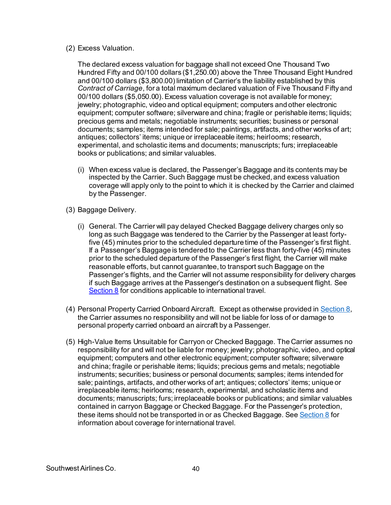(2) Excess Valuation.

The declared excess valuation for baggage shall not exceed One Thousand Two Hundred Fifty and 00/100 dollars (\$1,250.00) above the Three Thousand Eight Hundred and 00/100 dollars (\$3,800.00) limitation of Carrier's the liability established by this *Contract of Carriage*, for a total maximum declared valuation of Five Thousand Fifty and 00/100 dollars (\$5,050.00). Excess valuation coverage is not available for money; jewelry; photographic, video and optical equipment; computers and other electronic equipment; computer software; silverware and china; fragile or perishable items; liquids; precious gems and metals; negotiable instruments; securities; business or personal documents; samples; items intended for sale; paintings, artifacts, and other works of art; antiques; collectors' items; unique or irreplaceable items; heirlooms; research, experimental, and scholastic items and documents; manuscripts; furs; irreplaceable books or publications; and similar valuables.

- (i) When excess value is declared, the Passenger's Baggage and its contents may be inspected by the Carrier. Such Baggage must be checked, and excess valuation coverage will apply only to the point to which it is checked by the Carrier and claimed by the Passenger.
- (3) Baggage Delivery.
	- (i) General. The Carrier will pay delayed Checked Baggage delivery charges only so long as such Baggage was tendered to the Carrier by the Passenger at least fortyfive (45) minutes prior to the scheduled departure time of the Passenger's first flight. If a Passenger's Baggage is tendered to the Carrier less than forty-five (45) minutes prior to the scheduled departure of the Passenger's first flight, the Carrier will make reasonable efforts, but cannot guarantee, to transport such Baggage on the Passenger's flights, and the Carrier will not assume responsibility for delivery charges if such Baggage arrives at the Passenger's destination on a subsequent flight. See [Section 8](#page-41-0) for conditions applicable to international travel.
- (4) Personal Property Carried Onboard Aircraft. Except as otherwise provided i[n Section 8](#page-41-0), the Carrier assumes no responsibility and will not be liable for loss of or damage to personal property carried onboard an aircraft by a Passenger.
- (5) High-Value Items Unsuitable for Carryon or Checked Baggage. The Carrier assumes no responsibility for and will not be liable for money; jewelry; photographic, video, and optical equipment; computers and other electronic equipment; computer software; silverware and china; fragile or perishable items; liquids; precious gems and metals; negotiable instruments; securities; business or personal documents; samples; items intended for sale; paintings, artifacts, and other works of art; antiques; collectors' items; unique or irreplaceable items; heirlooms; research, experimental, and scholastic items and documents; manuscripts; furs; irreplaceable books or publications; and similar valuables contained in carryon Baggage or Checked Baggage. For the Passenger's protection, these items should not be transported in or as Checked Baggage. Se[e Section 8](#page-41-0) for information about coverage for international travel.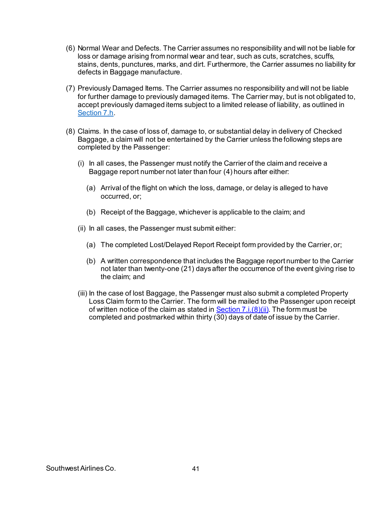- (6) Normal Wear and Defects. The Carrier assumes no responsibility and will not be liable for loss or damage arising from normal wear and tear, such as cuts, scratches, scuffs, stains, dents, punctures, marks, and dirt. Furthermore, the Carrier assumes no liability for defects in Baggage manufacture.
- (7) Previously Damaged Items. The Carrier assumes no responsibility and will not be liable for further damage to previously damaged items. The Carrier may, but is not obligated to, accept previously damaged items subject to a limited release of liability, as outlined in [Section 7.h.](#page-37-0)
- <span id="page-40-0"></span>(8) Claims. In the case of loss of, damage to, or substantial delay in delivery of Checked Baggage, a claim will not be entertained by the Carrier unless the following steps are completed by the Passenger:
	- (i) In all cases, the Passenger must notify the Carrier of the claim and receive a Baggage report number not later than four (4) hours after either:
		- (a) Arrival of the flight on which the loss, damage, or delay is alleged to have occurred, or;
		- (b) Receipt of the Baggage, whichever is applicable to the claim; and
	- (ii) In all cases, the Passenger must submit either:
		- (a) The completed Lost/Delayed Report Receipt form provided by the Carrier, or;
		- (b) A written correspondence that includes the Baggage report number to the Carrier not later than twenty-one (21) days after the occurrence of the event giving rise to the claim; and
	- (iii) In the case of lost Baggage, the Passenger must also submit a completed Property Loss Claim form to the Carrier. The form will be mailed to the Passenger upon receipt of written notice of the claim as stated in Section  $7 \cdot i \cdot (8)$  (ii). The form must be completed and postmarked within thirty (30) days of date of issue by the Carrier.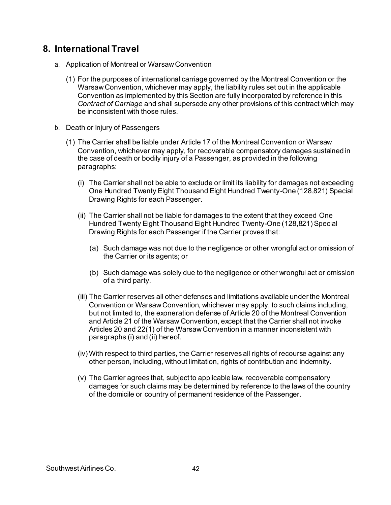### <span id="page-41-0"></span>**8. International Travel**

- a. Application of Montreal or Warsaw Convention
	- (1) For the purposes of international carriage governed by the Montreal Convention or the Warsaw Convention, whichever may apply, the liability rules set out in the applicable Convention as implemented by this Section are fully incorporated by reference in this *Contract of Carriage* and shall supersede any other provisions of this contract which may be inconsistent with those rules.
- b. Death or Injury of Passengers
	- (1) The Carrier shall be liable under Article 17 of the Montreal Convention or Warsaw Convention, whichever may apply, for recoverable compensatory damages sustained in the case of death or bodily injury of a Passenger, as provided in the following paragraphs:
		- (i) The Carrier shall not be able to exclude or limit its liability for damages not exceeding One Hundred Twenty Eight Thousand Eight Hundred Twenty-One (128,821) Special Drawing Rights for each Passenger.
		- (ii) The Carrier shall not be liable for damages to the extent that they exceed One Hundred Twenty Eight Thousand Eight Hundred Twenty-One (128,821) Special Drawing Rights for each Passenger if the Carrier proves that:
			- (a) Such damage was not due to the negligence or other wrongful act or omission of the Carrier or its agents; or
			- (b) Such damage was solely due to the negligence or other wrongful act or omission of a third party.
		- (iii) The Carrier reserves all other defenses and limitations available under the Montreal Convention or Warsaw Convention, whichever may apply, to such claims including, but not limited to, the exoneration defense of Article 20 of the Montreal Convention and Article 21 of the Warsaw Convention, except that the Carrier shall not invoke Articles 20 and 22(1) of the Warsaw Convention in a manner inconsistent with paragraphs (i) and (ii) hereof.
		- (iv) With respect to third parties, the Carrier reserves all rights of recourse against any other person, including, without limitation, rights of contribution and indemnity.
		- (v) The Carrier agrees that, subject to applicable law, recoverable compensatory damages for such claims may be determined by reference to the laws of the country of the domicile or country of permanent residence of the Passenger.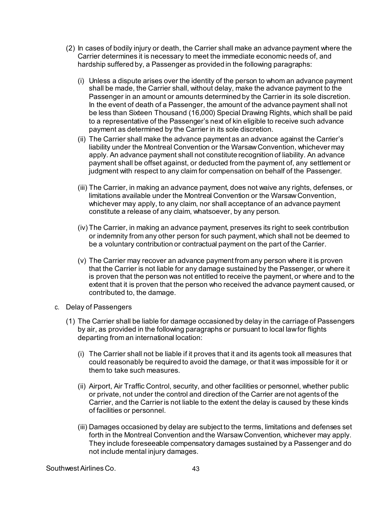- (2) In cases of bodily injury or death, the Carrier shall make an advance payment where the Carrier determines it is necessary to meet the immediate economic needs of, and hardship suffered by, a Passenger as provided in the following paragraphs:
	- (i) Unless a dispute arises over the identity of the person to whom an advance payment shall be made, the Carrier shall, without delay, make the advance payment to the Passenger in an amount or amounts determined by the Carrier in its sole discretion. In the event of death of a Passenger, the amount of the advance payment shall not be less than Sixteen Thousand (16,000) Special Drawing Rights, which shall be paid to a representative of the Passenger's next of kin eligible to receive such advance payment as determined by the Carrier in its sole discretion.
	- (ii) The Carrier shall make the advance payment as an advance against the Carrier's liability under the Montreal Convention or the Warsaw Convention, whichever may apply. An advance payment shall not constitute recognition of liability. An advance payment shall be offset against, or deducted from the payment of, any settlement or judgment with respect to any claim for compensation on behalf of the Passenger.
	- (iii) The Carrier, in making an advance payment, does not waive any rights, defenses, or limitations available under the Montreal Convention or the Warsaw Convention, whichever may apply, to any claim, nor shall acceptance of an advance payment constitute a release of any claim, whatsoever, by any person.
	- (iv) The Carrier, in making an advance payment, preserves its right to seek contribution or indemnity from any other person for such payment, which shall not be deemed to be a voluntary contribution or contractual payment on the part of the Carrier.
	- (v) The Carrier may recover an advance payment from any person where it is proven that the Carrier is not liable for any damage sustained by the Passenger, or where it is proven that the person was not entitled to receive the payment, or where and to the extent that it is proven that the person who received the advance payment caused, or contributed to, the damage.
- c. Delay of Passengers
	- (1) The Carrier shall be liable for damage occasioned by delay in the carriage of Passengers by air, as provided in the following paragraphs or pursuant to local law for flights departing from an international location:
		- (i) The Carrier shall not be liable if it proves that it and its agents took all measures that could reasonably be required to avoid the damage, or that it was impossible for it or them to take such measures.
		- (ii) Airport, Air Traffic Control, security, and other facilities or personnel, whether public or private, not under the control and direction of the Carrier are not agents of the Carrier, and the Carrier is not liable to the extent the delay is caused by these kinds of facilities or personnel.
		- (iii) Damages occasioned by delay are subject to the terms, limitations and defenses set forth in the Montreal Convention and the Warsaw Convention, whichever may apply. They include foreseeable compensatory damages sustained by a Passenger and do not include mental injury damages.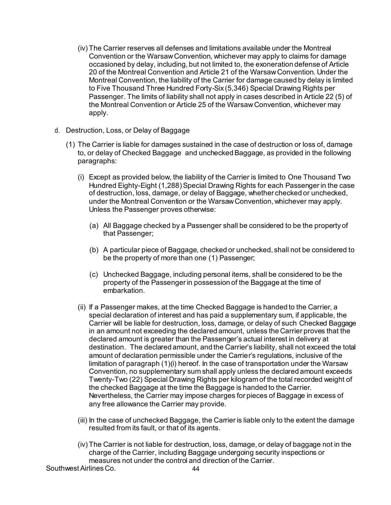- (iv) The Carrier reserves all defenses and limitations available under the Montreal Convention or the Warsaw Convention, whichever may apply to claims for damage occasioned by delay, including, but not limited to, the exoneration defense of Article 20 of the Montreal Convention and Article 21 of the Warsaw Convention. Under the Montreal Convention, the liability of the Carrier for damage caused by delay is limited to Five Thousand Three Hundred Forty-Six (5,346) Special Drawing Rights per Passenger. The limits of liability shall not apply in cases described in Article 22 (5) of the Montreal Convention or Article 25 of the Warsaw Convention, whichever may apply.
- d. Destruction, Loss, or Delay of Baggage
	- (1) The Carrier is liable for damages sustained in the case of destruction or loss of, damage to, or delay of Checked Baggage and unchecked Baggage, as provided in the following paragraphs:
		- (i) Except as provided below, the liability of the Carrier is limited to One Thousand Two Hundred Eighty-Eight (1,288) Special Drawing Rights for each Passenger in the case of destruction, loss, damage, or delay of Baggage, whether checked or unchecked, under the Montreal Convention or the Warsaw Convention, whichever may apply. Unless the Passenger proves otherwise:
			- (a) All Baggage checked by a Passenger shall be considered to be the property of that Passenger;
			- (b) A particular piece of Baggage, checked or unchecked, shall not be considered to be the property of more than one (1) Passenger;
			- (c) Unchecked Baggage, including personal items, shall be considered to be the property of the Passenger in possession of the Baggage at the time of embarkation.
		- (ii) If a Passenger makes, at the time Checked Baggage is handed to the Carrier, a special declaration of interest and has paid a supplementary sum, if applicable, the Carrier will be liable for destruction, loss, damage, or delay of such Checked Baggage in an amount not exceeding the declared amount, unless the Carrier proves that the declared amount is greater than the Passenger's actual interest in delivery at destination. The declared amount, and the Carrier's liability, shall not exceed the total amount of declaration permissible under the Carrier's regulations, inclusive of the limitation of paragraph (1)(i) hereof. In the case of transportation under the Warsaw Convention, no supplementary sum shall apply unless the declared amount exceeds Twenty-Two (22) Special Drawing Rights per kilogram of the total recorded weight of the checked Baggage at the time the Baggage is handed to the Carrier. Nevertheless, the Carrier may impose charges for pieces of Baggage in excess of any free allowance the Carrier may provide.
		- (iii) In the case of unchecked Baggage, the Carrier is liable only to the extent the damage resulted from its fault, or that of its agents.
		- (iv) The Carrier is not liable for destruction, loss, damage, or delay of baggage not in the charge of the Carrier, including Baggage undergoing security inspections or measures not under the control and direction of the Carrier.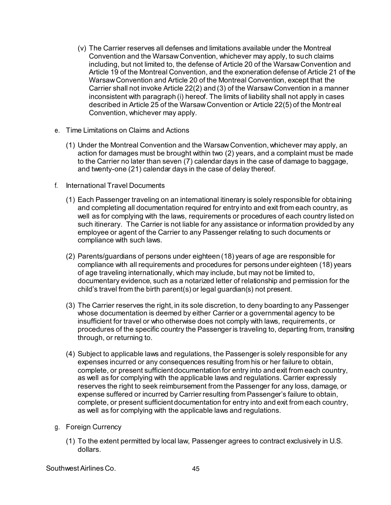- (v) The Carrier reserves all defenses and limitations available under the Montreal Convention and the Warsaw Convention, whichever may apply, to such claims including, but not limited to, the defense of Article 20 of the Warsaw Convention and Article 19 of the Montreal Convention, and the exoneration defense of Article 21 of the Warsaw Convention and Article 20 of the Montreal Convention, except that the Carrier shall not invoke Article 22(2) and (3) of the Warsaw Convention in a manner inconsistent with paragraph (i) hereof. The limits of liability shall not apply in cases described in Article 25 of the Warsaw Convention or Article 22(5) of the Montreal Convention, whichever may apply.
- e. Time Limitations on Claims and Actions
	- (1) Under the Montreal Convention and the Warsaw Convention, whichever may apply, an action for damages must be brought within two (2) years, and a complaint must be made to the Carrier no later than seven (7) calendar days in the case of damage to baggage, and twenty-one (21) calendar days in the case of delay thereof.
- <span id="page-44-0"></span>f. International Travel Documents
	- (1) Each Passenger traveling on an international itinerary is solely responsible for obtaining and completing all documentation required for entry into and exit from each country, as well as for complying with the laws, requirements or procedures of each country listed on such itinerary. The Carrier is not liable for any assistance or information provided by any employee or agent of the Carrier to any Passenger relating to such documents or compliance with such laws.
	- (2) Parents/guardians of persons under eighteen (18) years of age are responsible for compliance with all requirements and procedures for persons under eighteen (18) years of age traveling internationally, which may include, but may not be limited to, documentary evidence, such as a notarized letter of relationship and permission for the child's travel from the birth parent(s) or legal guardian(s) not present.
	- (3) The Carrier reserves the right, in its sole discretion, to deny boarding to any Passenger whose documentation is deemed by either Carrier or a governmental agency to be insufficient for travel or who otherwise does not comply with laws, requirements, or procedures of the specific country the Passenger is traveling to, departing from, transiting through, or returning to.
	- (4) Subject to applicable laws and regulations, the Passenger is solely responsible for any expenses incurred or any consequences resulting from his or her failure to obtain, complete, or present sufficient documentation for entry into and exit from each country, as well as for complying with the applicable laws and regulations. Carrier expressly reserves the right to seek reimbursement from the Passenger for any loss, damage, or expense suffered or incurred by Carrier resulting from Passenger's failure to obtain, complete, or present sufficient documentation for entry into and exit from each country, as well as for complying with the applicable laws and regulations.
- g. Foreign Currency
	- (1) To the extent permitted by local law, Passenger agrees to contract exclusively in U.S. dollars.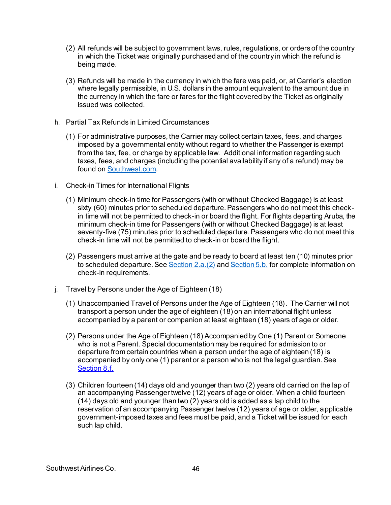- (2) All refunds will be subject to government laws, rules, regulations, or orders of the country in which the Ticket was originally purchased and of the country in which the refund is being made.
- (3) Refunds will be made in the currency in which the fare was paid, or, at Carrier's election where legally permissible, in U.S. dollars in the amount equivalent to the amount due in the currency in which the fare or fares for the flight covered by the Ticket as originally issued was collected.
- h. Partial Tax Refunds in Limited Circumstances
	- (1) For administrative purposes, the Carrier may collect certain taxes, fees, and charges imposed by a governmental entity without regard to whether the Passenger is exempt from the tax, fee, or charge by applicable law. Additional information regarding such taxes, fees, and charges (including the potential availability if any of a refund) may be found o[n Southwest.com](http://www.southwest.com/).
- i. Check-in Times for International Flights
	- (1) Minimum check-in time for Passengers (with or without Checked Baggage) is at least sixty (60) minutes prior to scheduled departure. Passengers who do not meet this checkin time will not be permitted to check-in or board the flight. For flights departing Aruba, the minimum check-in time for Passengers (with or without Checked Baggage) is at least seventy-five (75) minutes prior to scheduled departure. Passengers who do not meet this check-in time will not be permitted to check-in or board the flight.
	- (2) Passengers must arrive at the gate and be ready to board at least ten (10) minutes prior to scheduled departure. See [Section 2.a.\(2\)](#page-8-3) an[d Section 5.b.](#page-20-2) for complete information on check-in requirements.
- j. Travel by Persons under the Age of Eighteen (18)
	- (1) Unaccompanied Travel of Persons under the Age of Eighteen (18). The Carrier will not transport a person under the age of eighteen (18) on an international flight unless accompanied by a parent or companion at least eighteen (18) years of age or older.
	- (2) Persons under the Age of Eighteen (18) Accompanied by One (1) Parent or Someone who is not a Parent. Special documentation may be required for admission to or departure from certain countries when a person under the age of eighteen (18) is accompanied by only one (1) parent or a person who is not the legal guardian. See [Section 8.f.](#page-44-0)
	- (3) Children fourteen (14) days old and younger than two (2) years old carried on the lap of an accompanying Passenger twelve (12) years of age or older. When a child fourteen (14) days old and younger than two (2) years old is added as a lap child to the reservation of an accompanying Passenger twelve (12) years of age or older, applicable government-imposed taxes and fees must be paid, and a Ticket will be issued for each such lap child.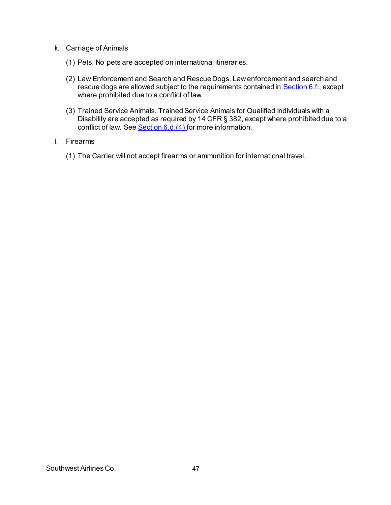- k. Carriage of Animals
	- (1) Pets. No pets are accepted on international itineraries.
	- (2) Law Enforcement and Search and Rescue Dogs. Law enforcement and search and rescue dogs are allowed subject to the requirements contained i[n Section 6.f](#page-30-1)., except where prohibited due to a conflict of law.
	- (3) Trained Service Animals. Trained Service Animals for Qualified Individuals with a Disability are accepted as required by 14 CFR § 382, except where prohibited due to a conflict of law. See **Section 6.d.(4)** for more information.
- l. Firearms
	- (1) The Carrier will not accept firearms or ammunition for international travel.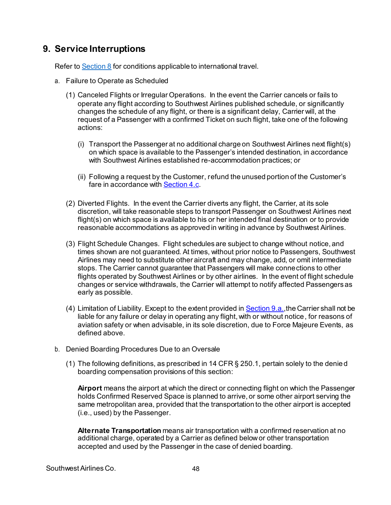### <span id="page-47-1"></span>**9. Service Interruptions**

Refer t[o Section 8](#page-41-0) for conditions applicable to international travel.

- <span id="page-47-2"></span>a. Failure to Operate as Scheduled
	- (1) Canceled Flights or Irregular Operations. In the event the Carrier cancels or fails to operate any flight according to Southwest Airlines published schedule, or significantly changes the schedule of any flight, or there is a significant delay, Carrier will, at the request of a Passenger with a confirmed Ticket on such flight, take one of the following actions:
		- (i) Transport the Passenger at no additional charge on Southwest Airlines next flight(s) on which space is available to the Passenger's intended destination, in accordance with Southwest Airlines established re-accommodation practices; or
		- (ii) Following a request by the Customer, refund the unused portion of the Customer's fare in accordance wit[h Section 4.c.](#page-15-0)
	- (2) Diverted Flights. In the event the Carrier diverts any flight, the Carrier, at its sole discretion, will take reasonable steps to transport Passenger on Southwest Airlines next flight(s) on which space is available to his or her intended final destination or to provide reasonable accommodations as approved in writing in advance by Southwest Airlines.
	- (3) Flight Schedule Changes. Flight schedules are subject to change without notice, and times shown are not guaranteed. At times, without prior notice to Passengers, Southwest Airlines may need to substitute other aircraft and may change, add, or omit intermediate stops. The Carrier cannot guarantee that Passengers will make connections to other flights operated by Southwest Airlines or by other airlines. In the event of flight schedule changes or service withdrawals, the Carrier will attempt to notify affected Passengers as early as possible.
	- (4) Limitation of Liability. Except to the extent provided i[n Section 9.a](#page-47-2)., the Carrier shall not be liable for any failure or delay in operating any flight, with or without notice, for reasons of aviation safety or when advisable, in its sole discretion, due to Force Majeure Events, as defined above.
- <span id="page-47-0"></span>b. Denied Boarding Procedures Due to an Oversale
	- (1) The following definitions, as prescribed in 14 CFR § 250.1, pertain solely to the denied boarding compensation provisions of this section:

**Airport** means the airport at which the direct or connecting flight on which the Passenger holds Confirmed Reserved Space is planned to arrive, or some other airport serving the same metropolitan area, provided that the transportation to the other airport is accepted (i.e., used) by the Passenger.

**Alternate Transportation** means air transportation with a confirmed reservation at no additional charge, operated by a Carrier as defined belowor other transportation accepted and used by the Passenger in the case of denied boarding.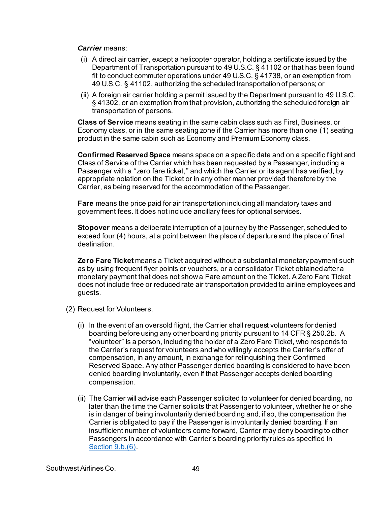#### *Carrier* means:

- (i) A direct air carrier, except a helicopter operator, holding a certificate issued by the Department of Transportation pursuant to 49 U.S.C. § 41102 or that has been found fit to conduct commuter operations under 49 U.S.C. § 41738, or an exemption from 49 U.S.C. § 41102, authorizing the scheduled transportation of persons; or
- (ii) A foreign air carrier holding a permit issued by the Department pursuant to 49 U.S.C. § 41302, or an exemption from that provision, authorizing the scheduled foreign air transportation of persons.

**Class of Service** means seating in the same cabin class such as First, Business, or Economy class, or in the same seating zone if the Carrier has more than one (1) seating product in the same cabin such as Economy and Premium Economy class.

**Confirmed Reserved Space** means space on a specific date and on a specific flight and Class of Service of the Carrier which has been requested by a Passenger, including a Passenger with a ''zero fare ticket,'' and which the Carrier or its agent has verified, by appropriate notation on the Ticket or in any other manner provided therefore by the Carrier, as being reserved for the accommodation of the Passenger.

**Fare** means the price paid for air transportation including all mandatory taxes and government fees. It does not include ancillary fees for optional services.

**Stopover** means a deliberate interruption of a journey by the Passenger, scheduled to exceed four (4) hours, at a point between the place of departure and the place of final destination.

**Zero Fare Ticket** means a Ticket acquired without a substantial monetary payment such as by using frequent flyer points or vouchers, or a consolidator Ticket obtained after a monetary payment that does not show a Fare amount on the Ticket. A Zero Fare Ticket does not include free or reduced rate air transportation provided to airline employees and guests.

- (2) Request for Volunteers.
	- (i) In the event of an oversold flight, the Carrier shall request volunteers for denied boarding before using any other boarding priority pursuant to 14 CFR § 250.2b. A "volunteer" is a person, including the holder of a Zero Fare Ticket, who responds to the Carrier's request for volunteers and who willingly accepts the Carrier's offer of compensation, in any amount, in exchange for relinquishing their Confirmed Reserved Space. Any other Passenger denied boarding is considered to have been denied boarding involuntarily, even if that Passenger accepts denied boarding compensation.
	- (ii) The Carrier will advise each Passenger solicited to volunteer for denied boarding, no later than the time the Carrier solicits that Passenger to volunteer, whether he or she is in danger of being involuntarily denied boarding and, if so, the compensation the Carrier is obligated to pay if the Passenger is involuntarily denied boarding. If an insufficient number of volunteers come forward, Carrier may deny boarding to other Passengers in accordance with Carrier's boarding priority rules as specified in [Section 9.b.\(6\)](#page-50-0).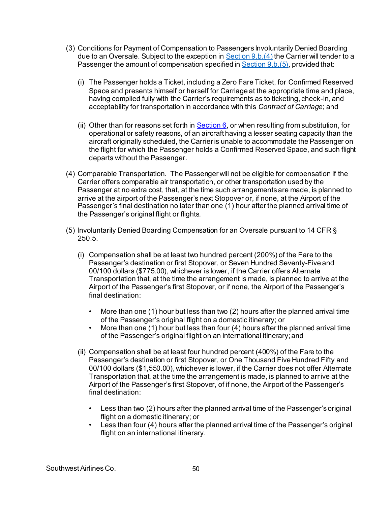- (3) Conditions for Payment of Compensation to Passengers Involuntarily Denied Boarding due to an Oversale. Subject to the exception i[n Section 9.b.\(4\)](#page-49-0) the Carrier will tender to a Passenger the amount of compensation specified i[n Section 9.b.\(5\)](#page-49-1), provided that:
	- (i) The Passenger holds a Ticket, including a Zero Fare Ticket, for Confirmed Reserved Space and presents himself or herself for Carriage at the appropriate time and place, having complied fully with the Carrier's requirements as to ticketing, check-in, and acceptability for transportation in accordance with this *Contract of Carriage*; and
	- (ii) Other than for reasons set forth in  $Section 6$ , or when resulting from substitution, for operational or safety reasons, of an aircraft having a lesser seating capacity than the aircraft originally scheduled, the Carrier is unable to accommodate the Passenger on the flight for which the Passenger holds a Confirmed Reserved Space, and such flight departs without the Passenger.
- <span id="page-49-0"></span>(4) Comparable Transportation. The Passenger will not be eligible for compensation if the Carrier offers comparable air transportation, or other transportation used by the Passenger at no extra cost, that, at the time such arrangements are made, is planned to arrive at the airport of the Passenger's next Stopover or, if none, at the Airport of the Passenger's final destination no later than one (1) hour after the planned arrival time of the Passenger's original flight or flights.
- <span id="page-49-1"></span>(5) Involuntarily Denied Boarding Compensation for an Oversale pursuant to 14 CFR § 250.5.
	- (i) Compensation shall be at least two hundred percent (200%) of the Fare to the Passenger's destination or first Stopover, or Seven Hundred Seventy-Five and 00/100 dollars (\$775.00), whichever is lower, if the Carrier offers Alternate Transportation that, at the time the arrangement is made, is planned to arrive at the Airport of the Passenger's first Stopover, or if none, the Airport of the Passenger's final destination:
		- More than one (1) hour but less than two (2) hours after the planned arrival time of the Passenger's original flight on a domestic itinerary; or
		- More than one (1) hour but less than four (4) hours after the planned arrival time of the Passenger's original flight on an international itinerary; and
	- (ii) Compensation shall be at least four hundred percent (400%) of the Fare to the Passenger's destination or first Stopover, or One Thousand Five Hundred Fifty and 00/100 dollars (\$1,550.00), whichever is lower, if the Carrier does not offer Alternate Transportation that, at the time the arrangement is made, is planned to arrive at the Airport of the Passenger's first Stopover, of if none, the Airport of the Passenger's final destination:
		- Less than two (2) hours after the planned arrival time of the Passenger's original flight on a domestic itinerary; or
		- Less than four (4) hours after the planned arrival time of the Passenger's original flight on an international itinerary.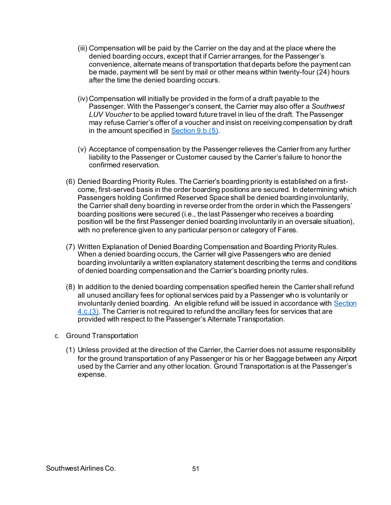- (iii) Compensation will be paid by the Carrier on the day and at the place where the denied boarding occurs, except that if Carrier arranges, for the Passenger's convenience, alternate means of transportation that departs before the payment can be made, payment will be sent by mail or other means within twenty-four (24) hours after the time the denied boarding occurs.
- (iv) Compensation will initially be provided in the form of a draft payable to the Passenger. With the Passenger's consent, the Carrier may also offer a *Southwest LUV Voucher* to be applied toward future travel in lieu of the draft. The Passenger may refuse Carrier's offer of a voucher and insist on receiving compensation by draft in the amount specified i[n Section 9.b.\(5\)](#page-49-1).
- (v) Acceptance of compensation by the Passenger relieves the Carrier from any further liability to the Passenger or Customer caused by the Carrier's failure to honor the confirmed reservation.
- <span id="page-50-0"></span>(6) Denied Boarding Priority Rules. The Carrier's boarding priority is established on a firstcome, first-served basis in the order boarding positions are secured. In determining which Passengers holding Confirmed Reserved Space shall be denied boarding involuntarily, the Carrier shall deny boarding in reverse order from the order in which the Passengers' boarding positions were secured (i.e., the last Passenger who receives a boarding position will be the first Passenger denied boarding involuntarily in an oversale situation), with no preference given to any particular person or category of Fares.
- (7) Written Explanation of Denied Boarding Compensation and Boarding Priority Rules. When a denied boarding occurs, the Carrier will give Passengers who are denied boarding involuntarily a written explanatory statement describing the terms and conditions of denied boarding compensation and the Carrier's boarding priority rules.
- (8) In addition to the denied boarding compensation specified herein the Carrier shall refund all unused ancillary fees for optional services paid by a Passenger who is voluntarily or involuntarily denied boarding. An eligible refund will be issued in accordance with Section  $4.c.(3)$ . The Carrier is not required to refund the ancillary fees for services that are provided with respect to the Passenger's Alternate Transportation.
- c. Ground Transportation
	- (1) Unless provided at the direction of the Carrier, the Carrier does not assume responsibility for the ground transportation of any Passenger or his or her Baggage between any Airport used by the Carrier and any other location. Ground Transportation is at the Passenger's expense.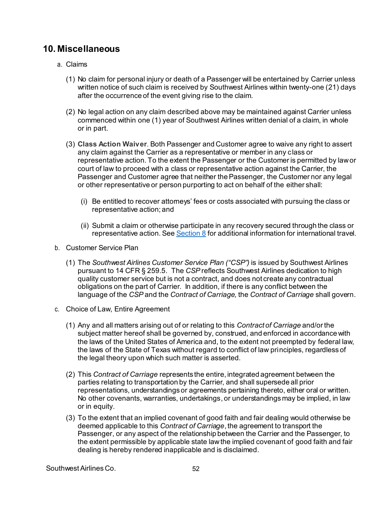### **10. Miscellaneous**

- a. Claims
	- (1) No claim for personal injury or death of a Passenger will be entertained by Carrier unless written notice of such claim is received by Southwest Airlines within twenty-one (21) days after the occurrence of the event giving rise to the claim.
	- (2) No legal action on any claim described above may be maintained against Carrier unless commenced within one (1) year of Southwest Airlines written denial of a claim, in whole or in part.
	- (3) **Class Action Waiver**. Both Passenger and Customer agree to waive any right to assert any claim against the Carrier as a representative or member in any class or representative action. To the extent the Passenger or the Customer is permitted by law or court of law to proceed with a class or representative action against the Carrier, the Passenger and Customer agree that neither the Passenger, the Customer nor any legal or other representative or person purporting to act on behalf of the either shall:
		- (i) Be entitled to recover attorneys' fees or costs associated with pursuing the class or representative action; and
		- (ii) Submit a claim or otherwise participate in any recovery secured through the class or representative action. Se[e Section 8](#page-41-0) for additional information for international travel.
- b. Customer Service Plan
	- (1) The *Southwest Airlines Customer Service Plan ("CSP")* is issued by Southwest Airlines pursuant to 14 CFR § 259.5. The *CSP* reflects Southwest Airlines dedication to high quality customer service but is not a contract, and does not create any contractual obligations on the part of Carrier. In addition, if there is any conflict between the language of the *CSP* and the *Contract of Carriage,* the *Contract of Carriage* shall govern.
- c. Choice of Law, Entire Agreement
	- (1) Any and all matters arising out of or relating to this *Contract of Carriage* and/or the subject matter hereof shall be governed by, construed, and enforced in accordance with the laws of the United States of America and, to the extent not preempted by federal law, the laws of the State of Texas without regard to conflict of law principles, regardless of the legal theory upon which such matter is asserted.
	- (2) This *Contract of Carriage* represents the entire, integrated agreement between the parties relating to transportation by the Carrier, and shall supersede all prior representations, understandings or agreements pertaining thereto, either oral or written. No other covenants, warranties, undertakings, or understandings may be implied, in law or in equity.
	- (3) To the extent that an implied covenant of good faith and fair dealing would otherwise be deemed applicable to this *Contract of Carriage*, the agreement to transport the Passenger, or any aspect of the relationship between the Carrier and the Passenger, to the extent permissible by applicable state law the implied covenant of good faith and fair dealing is hereby rendered inapplicable and is disclaimed.